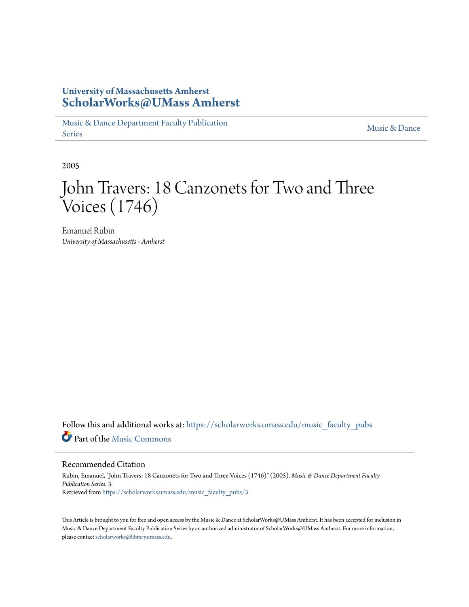# **University of Massachusetts Amherst [ScholarWorks@UMass Amherst](https://scholarworks.umass.edu?utm_source=scholarworks.umass.edu%2Fmusic_faculty_pubs%2F3&utm_medium=PDF&utm_campaign=PDFCoverPages)**

[Music & Dance Department Faculty Publication](https://scholarworks.umass.edu/music_faculty_pubs?utm_source=scholarworks.umass.edu%2Fmusic_faculty_pubs%2F3&utm_medium=PDF&utm_campaign=PDFCoverPages) [Series](https://scholarworks.umass.edu/music_faculty_pubs?utm_source=scholarworks.umass.edu%2Fmusic_faculty_pubs%2F3&utm_medium=PDF&utm_campaign=PDFCoverPages)

[Music & Dance](https://scholarworks.umass.edu/music_dance?utm_source=scholarworks.umass.edu%2Fmusic_faculty_pubs%2F3&utm_medium=PDF&utm_campaign=PDFCoverPages)

2005

# John Travers: 18 Canzonets for Two and Three Voices (1746)

Emanuel Rubin *University of Massachusetts - Amherst*

Follow this and additional works at: [https://scholarworks.umass.edu/music\\_faculty\\_pubs](https://scholarworks.umass.edu/music_faculty_pubs?utm_source=scholarworks.umass.edu%2Fmusic_faculty_pubs%2F3&utm_medium=PDF&utm_campaign=PDFCoverPages) Part of the [Music Commons](http://network.bepress.com/hgg/discipline/518?utm_source=scholarworks.umass.edu%2Fmusic_faculty_pubs%2F3&utm_medium=PDF&utm_campaign=PDFCoverPages)

#### Recommended Citation

Rubin, Emanuel, "John Travers: 18 Canzonets for Two and Three Voices (1746)" (2005). *Music & Dance Department Faculty Publication Series*. 3. Retrieved from [https://scholarworks.umass.edu/music\\_faculty\\_pubs/3](https://scholarworks.umass.edu/music_faculty_pubs/3?utm_source=scholarworks.umass.edu%2Fmusic_faculty_pubs%2F3&utm_medium=PDF&utm_campaign=PDFCoverPages)

This Article is brought to you for free and open access by the Music & Dance at ScholarWorks@UMass Amherst. It has been accepted for inclusion in Music & Dance Department Faculty Publication Series by an authorized administrator of ScholarWorks@UMass Amherst. For more information, please contact [scholarworks@library.umass.edu.](mailto:scholarworks@library.umass.edu)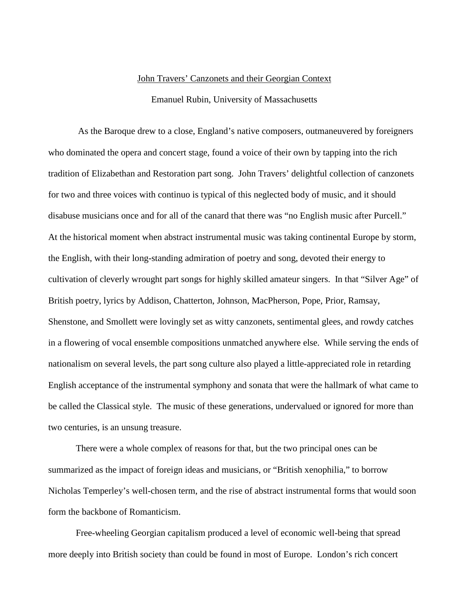#### John Travers' Canzonets and their Georgian Context

### Emanuel Rubin, University of Massachusetts

As the Baroque drew to a close, England's native composers, outmaneuvered by foreigners who dominated the opera and concert stage, found a voice of their own by tapping into the rich tradition of Elizabethan and Restoration part song. John Travers' delightful collection of canzonets for two and three voices with continuo is typical of this neglected body of music, and it should disabuse musicians once and for all of the canard that there was "no English music after Purcell." At the historical moment when abstract instrumental music was taking continental Europe by storm, the English, with their long-standing admiration of poetry and song, devoted their energy to cultivation of cleverly wrought part songs for highly skilled amateur singers. In that "Silver Age" of British poetry, lyrics by Addison, Chatterton, Johnson, MacPherson, Pope, Prior, Ramsay, Shenstone, and Smollett were lovingly set as witty canzonets, sentimental glees, and rowdy catches in a flowering of vocal ensemble compositions unmatched anywhere else. While serving the ends of nationalism on several levels, the part song culture also played a little-appreciated role in retarding English acceptance of the instrumental symphony and sonata that were the hallmark of what came to be called the Classical style. The music of these generations, undervalued or ignored for more than two centuries, is an unsung treasure.

There were a whole complex of reasons for that, but the two principal ones can be summarized as the impact of foreign ideas and musicians, or "British xenophilia," to borrow Nicholas Temperley's well-chosen term, and the rise of abstract instrumental forms that would soon form the backbone of Romanticism.

Free-wheeling Georgian capitalism produced a level of economic well-being that spread more deeply into British society than could be found in most of Europe. London's rich concert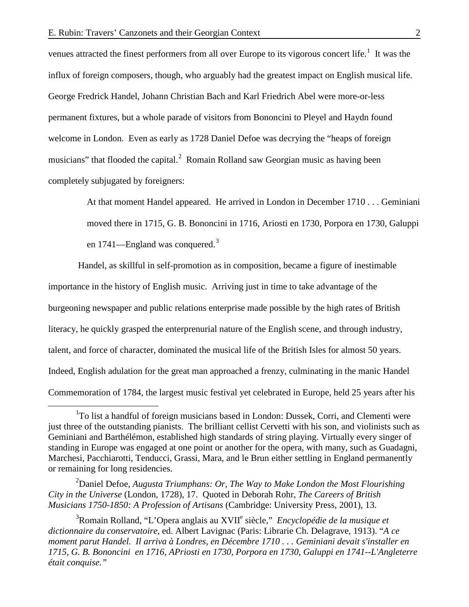venues attracted the finest performers from all over Europe to its vigorous concert life.<sup>[1](#page-2-0)</sup> It was the influx of foreign composers, though, who arguably had the greatest impact on English musical life. George Fredrick Handel, Johann Christian Bach and Karl Friedrich Abel were more-or-less permanent fixtures, but a whole parade of visitors from Bononcini to Pleyel and Haydn found welcome in London. Even as early as 1728 Daniel Defoe was decrying the "heaps of foreign musicians" that flooded the capital. $^2$  $^2$  Romain Rolland saw Georgian music as having been completely subjugated by foreigners:

> At that moment Handel appeared. He arrived in London in December 1710 . . . Geminiani moved there in 1715, G. B. Bononcini in 1716, Ariosti en 1730, Porpora en 1730, Galuppi en 1741—England was conquered.<sup>[3](#page-2-2)</sup>

Handel, as skillful in self-promotion as in composition, became a figure of inestimable importance in the history of English music. Arriving just in time to take advantage of the burgeoning newspaper and public relations enterprise made possible by the high rates of British literacy, he quickly grasped the enterprenurial nature of the English scene, and through industry, talent, and force of character, dominated the musical life of the British Isles for almost 50 years. Indeed, English adulation for the great man approached a frenzy, culminating in the manic Handel Commemoration of 1784, the largest music festival yet celebrated in Europe, held 25 years after his

<span id="page-2-1"></span>2 Daniel Defoe, *Augusta Triumphans: Or, The Way to Make London the Most Flourishing City in the Universe* (London, 1728), 17. Quoted in Deborah Rohr, *The Careers of British Musicians 1750-1850: A Profession of Artisans* (Cambridge: University Press, 2001), 13.

<span id="page-2-2"></span>3 Romain Rolland, "L'Opera anglais au XVIIe siècle," *Encyclopédie de la musique et dictionnaire du conservatoire,* ed. Albert Lavignac (Paris: Librarie Ch. Delagrave, 1913). "*A ce moment parut Handel. Il arriva à Londres, en Décembre 1710 . . . Geminiani devait s'installer en 1715, G. B. Bononcini en 1716, APriosti en 1730, Porpora en 1730, Galuppi en 1741--L'Angleterre était conquise."*

<span id="page-2-0"></span><sup>&</sup>lt;u>1</u> <sup>1</sup>To list a handful of foreign musicians based in London: Dussek, Corri, and Clementi were just three of the outstanding pianists. The brilliant cellist Cervetti with his son, and violinists such as Geminiani and Barthélémon, established high standards of string playing. Virtually every singer of standing in Europe was engaged at one point or another for the opera, with many, such as Guadagni, Marchesi, Pacchiarotti, Tenducci, Grassi, Mara, and le Brun either settling in England permanently or remaining for long residencies.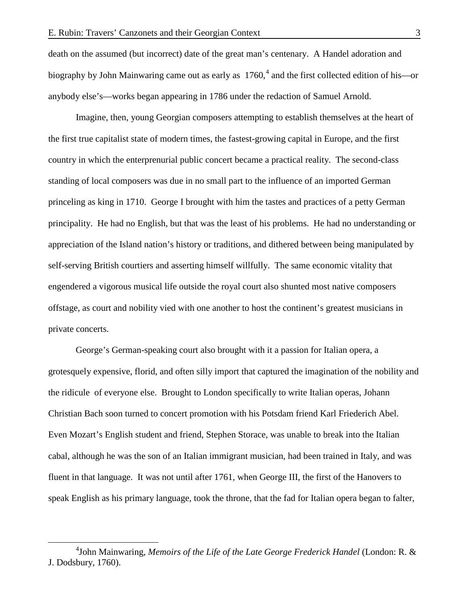death on the assumed (but incorrect) date of the great man's centenary. A Handel adoration and biography by John Mainwaring came out as early as  $1760<sup>4</sup>$  $1760<sup>4</sup>$  $1760<sup>4</sup>$  and the first collected edition of his—or anybody else's—works began appearing in 1786 under the redaction of Samuel Arnold.

Imagine, then, young Georgian composers attempting to establish themselves at the heart of the first true capitalist state of modern times, the fastest-growing capital in Europe, and the first country in which the enterprenurial public concert became a practical reality. The second-class standing of local composers was due in no small part to the influence of an imported German princeling as king in 1710. George I brought with him the tastes and practices of a petty German principality. He had no English, but that was the least of his problems. He had no understanding or appreciation of the Island nation's history or traditions, and dithered between being manipulated by self-serving British courtiers and asserting himself willfully. The same economic vitality that engendered a vigorous musical life outside the royal court also shunted most native composers offstage, as court and nobility vied with one another to host the continent's greatest musicians in private concerts.

George's German-speaking court also brought with it a passion for Italian opera, a grotesquely expensive, florid, and often silly import that captured the imagination of the nobility and the ridicule of everyone else. Brought to London specifically to write Italian operas, Johann Christian Bach soon turned to concert promotion with his Potsdam friend Karl Friederich Abel. Even Mozart's English student and friend, Stephen Storace, was unable to break into the Italian cabal, although he was the son of an Italian immigrant musician, had been trained in Italy, and was fluent in that language. It was not until after 1761, when George III, the first of the Hanovers to speak English as his primary language, took the throne, that the fad for Italian opera began to falter,

<span id="page-3-0"></span> $\frac{1}{4}$ John Mainwaring, *Memoirs of the Life of the Late George Frederick Handel* (London: R. & J. Dodsbury, 1760).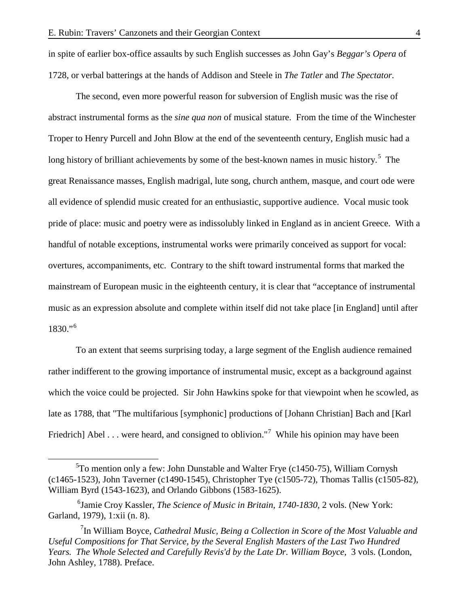in spite of earlier box-office assaults by such English successes as John Gay's *Beggar's Opera* of 1728, or verbal batterings at the hands of Addison and Steele in *The Tatler* and *The Spectator.*

The second, even more powerful reason for subversion of English music was the rise of abstract instrumental forms as the *sine qua non* of musical stature. From the time of the Winchester Troper to Henry Purcell and John Blow at the end of the seventeenth century, English music had a long history of brilliant achievements by some of the best-known names in music history.<sup>[5](#page-4-0)</sup> The great Renaissance masses, English madrigal, lute song, church anthem, masque, and court ode were all evidence of splendid music created for an enthusiastic, supportive audience. Vocal music took pride of place: music and poetry were as indissolubly linked in England as in ancient Greece. With a handful of notable exceptions, instrumental works were primarily conceived as support for vocal: overtures, accompaniments, etc. Contrary to the shift toward instrumental forms that marked the mainstream of European music in the eighteenth century, it is clear that "acceptance of instrumental music as an expression absolute and complete within itself did not take place [in England] until after 1830."[6](#page-4-1)

To an extent that seems surprising today, a large segment of the English audience remained rather indifferent to the growing importance of instrumental music, except as a background against which the voice could be projected. Sir John Hawkins spoke for that viewpoint when he scowled, as late as 1788, that "The multifarious [symphonic] productions of [Johann Christian] Bach and [Karl Friedrich] Abel . . . were heard, and consigned to oblivion."<sup>[7](#page-4-2)</sup> While his opinion may have been

<span id="page-4-0"></span> $rac{1}{5}$  ${}^{5}$ To mention only a few: John Dunstable and Walter Frye (c1450-75), William Cornysh (c1465-1523), John Taverner (c1490-1545), Christopher Tye (c1505-72), Thomas Tallis (c1505-82), William Byrd (1543-1623), and Orlando Gibbons (1583-1625).

<span id="page-4-1"></span><sup>6</sup> Jamie Croy Kassler, *The Science of Music in Britain, 1740-1830*, 2 vols. (New York: Garland, 1979), 1:xii (n. 8).

<span id="page-4-2"></span><sup>&</sup>lt;sup>7</sup>In William Boyce, *Cathedral Music*, *Being a Collection in Score of the Most Valuable and Useful Compositions for That Service, by the Several English Masters of the Last Two Hundred Years. The Whole Selected and Carefully Revis'd by the Late Dr. William Boyce*, 3 vols. (London, John Ashley, 1788). Preface.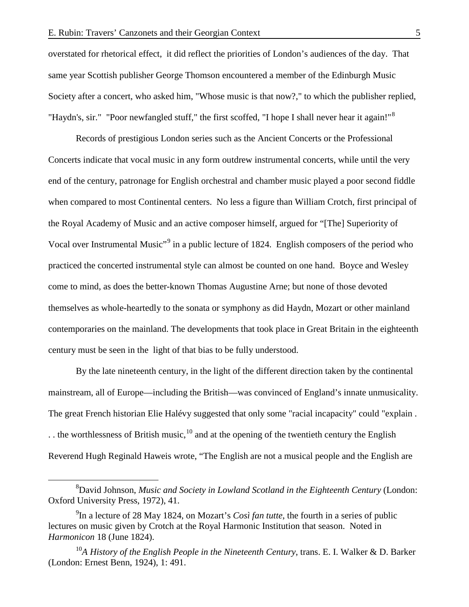overstated for rhetorical effect, it did reflect the priorities of London's audiences of the day. That same year Scottish publisher George Thomson encountered a member of the Edinburgh Music Society after a concert, who asked him, "Whose music is that now?," to which the publisher replied, "Haydn's, sir." "Poor newfangled stuff," the first scoffed, "I hope I shall never hear it again!"<sup>[8](#page-5-0)</sup>

Records of prestigious London series such as the Ancient Concerts or the Professional Concerts indicate that vocal music in any form outdrew instrumental concerts, while until the very end of the century, patronage for English orchestral and chamber music played a poor second fiddle when compared to most Continental centers. No less a figure than William Crotch, first principal of the Royal Academy of Music and an active composer himself, argued for "[The] Superiority of Vocal over Instrumental Music"<sup>[9](#page-5-1)</sup> in a public lecture of 1824. English composers of the period who practiced the concerted instrumental style can almost be counted on one hand. Boyce and Wesley come to mind, as does the better-known Thomas Augustine Arne; but none of those devoted themselves as whole-heartedly to the sonata or symphony as did Haydn, Mozart or other mainland contemporaries on the mainland. The developments that took place in Great Britain in the eighteenth century must be seen in the light of that bias to be fully understood.

By the late nineteenth century, in the light of the different direction taken by the continental mainstream, all of Europe—including the British—was convinced of England's innate unmusicality. The great French historian Elie Halévy suggested that only some "racial incapacity" could "explain . .. the worthlessness of British music,  $^{10}$  $^{10}$  $^{10}$  and at the opening of the twentieth century the English Reverend Hugh Reginald Haweis wrote, "The English are not a musical people and the English are

<span id="page-5-0"></span> $\frac{1}{8}$ David Johnson, *Music and Society in Lowland Scotland in the Eighteenth Century* (London: Oxford University Press, 1972), 41.

<span id="page-5-1"></span><sup>9</sup> In a lecture of 28 May 1824, on Mozart's *Così fan tutte*, the fourth in a series of public lectures on music given by Crotch at the Royal Harmonic Institution that season. Noted in *Harmonicon* 18 (June 1824).

<span id="page-5-2"></span><sup>10</sup>*A History of the English People in the Nineteenth Century*, trans. E. I. Walker & D. Barker (London: Ernest Benn, 1924), 1: 491.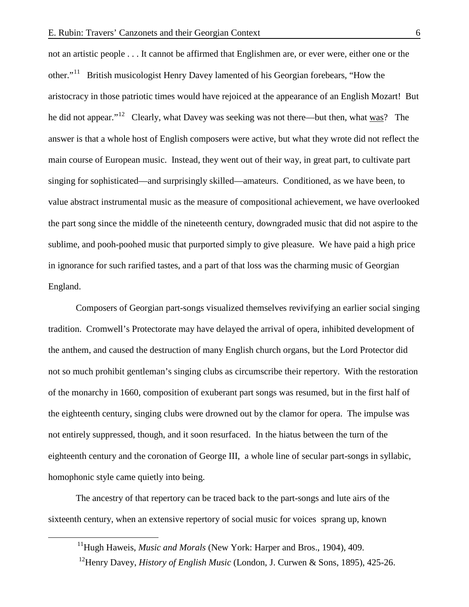not an artistic people . . . It cannot be affirmed that Englishmen are, or ever were, either one or the other."[11](#page-6-0) British musicologist Henry Davey lamented of his Georgian forebears, "How the aristocracy in those patriotic times would have rejoiced at the appearance of an English Mozart! But he did not appear."<sup>[12](#page-6-1)</sup> Clearly, what Davey was seeking was not there—but then, what was? The answer is that a whole host of English composers were active, but what they wrote did not reflect the main course of European music. Instead, they went out of their way, in great part, to cultivate part singing for sophisticated—and surprisingly skilled—amateurs. Conditioned, as we have been, to value abstract instrumental music as the measure of compositional achievement, we have overlooked the part song since the middle of the nineteenth century, downgraded music that did not aspire to the sublime, and pooh-poohed music that purported simply to give pleasure. We have paid a high price in ignorance for such rarified tastes, and a part of that loss was the charming music of Georgian England.

Composers of Georgian part-songs visualized themselves revivifying an earlier social singing tradition. Cromwell's Protectorate may have delayed the arrival of opera, inhibited development of the anthem, and caused the destruction of many English church organs, but the Lord Protector did not so much prohibit gentleman's singing clubs as circumscribe their repertory. With the restoration of the monarchy in 1660, composition of exuberant part songs was resumed, but in the first half of the eighteenth century, singing clubs were drowned out by the clamor for opera. The impulse was not entirely suppressed, though, and it soon resurfaced. In the hiatus between the turn of the eighteenth century and the coronation of George III, a whole line of secular part-songs in syllabic, homophonic style came quietly into being.

<span id="page-6-0"></span>The ancestry of that repertory can be traced back to the part-songs and lute airs of the sixteenth century, when an extensive repertory of social music for voices sprang up, known

<span id="page-6-1"></span><sup>&</sup>lt;sup>11</sup>Hugh Haweis, *Music and Morals* (New York: Harper and Bros., 1904), 409.

 <sup>12</sup>Henry Davey, *History of English Music* (London, J. Curwen & Sons, 1895), 425-26.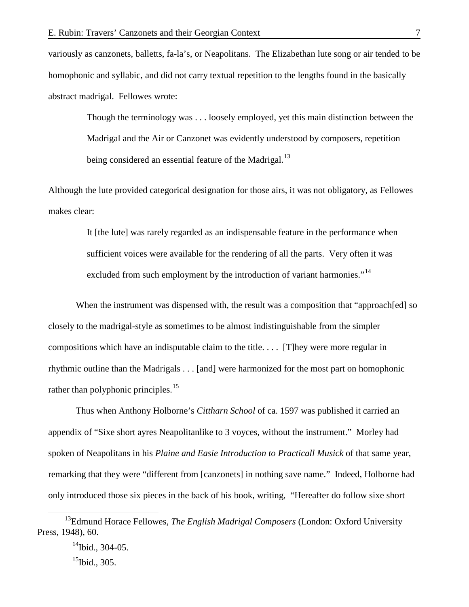variously as canzonets, balletts, fa-la's, or Neapolitans. The Elizabethan lute song or air tended to be homophonic and syllabic, and did not carry textual repetition to the lengths found in the basically abstract madrigal. Fellowes wrote:

Though the terminology was . . . loosely employed, yet this main distinction between the Madrigal and the Air or Canzonet was evidently understood by composers, repetition being considered an essential feature of the Madrigal.<sup>[13](#page-7-0)</sup>

Although the lute provided categorical designation for those airs, it was not obligatory, as Fellowes makes clear:

> It [the lute] was rarely regarded as an indispensable feature in the performance when sufficient voices were available for the rendering of all the parts. Very often it was excluded from such employment by the introduction of variant harmonies."<sup>[14](#page-7-1)</sup>

When the instrument was dispensed with, the result was a composition that "approach [ed] so closely to the madrigal-style as sometimes to be almost indistinguishable from the simpler compositions which have an indisputable claim to the title. . . . [T]hey were more regular in rhythmic outline than the Madrigals . . . [and] were harmonized for the most part on homophonic rather than polyphonic principles.<sup>[15](#page-7-2)</sup>

Thus when Anthony Holborne's *Cittharn School* of ca. 1597 was published it carried an appendix of "Sixe short ayres Neapolitanlike to 3 voyces, without the instrument." Morley had spoken of Neapolitans in his *Plaine and Easie Introduction to Practicall Musick* of that same year, remarking that they were "different from [canzonets] in nothing save name." Indeed, Holborne had only introduced those six pieces in the back of his book, writing, "Hereafter do follow sixe short

<span id="page-7-2"></span><span id="page-7-1"></span><span id="page-7-0"></span> <sup>13</sup>Edmund Horace Fellowes, *The English Madrigal Composers* (London: Oxford University Press, 1948), 60.

 $14$ Ibid., 304-05.  $15$ Ibid., 305.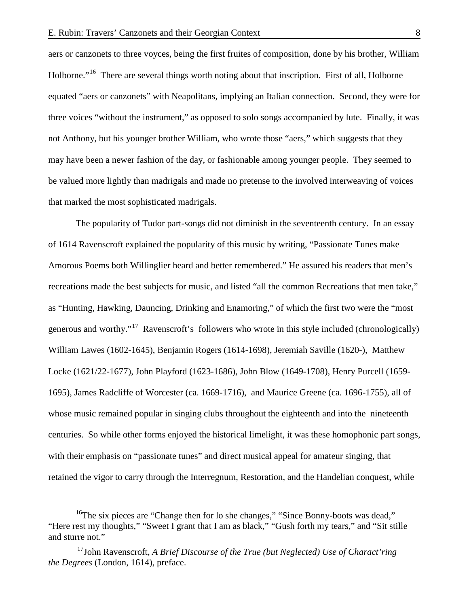aers or canzonets to three voyces, being the first fruites of composition, done by his brother, William Holborne."<sup>[16](#page-8-0)</sup> There are several things worth noting about that inscription. First of all, Holborne equated "aers or canzonets" with Neapolitans, implying an Italian connection. Second, they were for three voices "without the instrument," as opposed to solo songs accompanied by lute. Finally, it was not Anthony, but his younger brother William, who wrote those "aers," which suggests that they may have been a newer fashion of the day, or fashionable among younger people. They seemed to be valued more lightly than madrigals and made no pretense to the involved interweaving of voices that marked the most sophisticated madrigals.

The popularity of Tudor part-songs did not diminish in the seventeenth century. In an essay of 1614 Ravenscroft explained the popularity of this music by writing, "Passionate Tunes make Amorous Poems both Willinglier heard and better remembered." He assured his readers that men's recreations made the best subjects for music, and listed "all the common Recreations that men take," as "Hunting, Hawking, Dauncing, Drinking and Enamoring," of which the first two were the "most generous and worthy."<sup>[17](#page-8-1)</sup> Ravenscroft's followers who wrote in this style included (chronologically) William Lawes (1602-1645), Benjamin Rogers (1614-1698), Jeremiah Saville (1620-), Matthew Locke (1621/22-1677), John Playford (1623-1686), John Blow (1649-1708), Henry Purcell (1659- 1695), James Radcliffe of Worcester (ca. 1669-1716), and Maurice Greene (ca. 1696-1755), all of whose music remained popular in singing clubs throughout the eighteenth and into the nineteenth centuries. So while other forms enjoyed the historical limelight, it was these homophonic part songs, with their emphasis on "passionate tunes" and direct musical appeal for amateur singing, that retained the vigor to carry through the Interregnum, Restoration, and the Handelian conquest, while

<span id="page-8-0"></span><sup>&</sup>lt;sup>16</sup>The six pieces are "Change then for lo she changes," "Since Bonny-boots was dead," "Here rest my thoughts," "Sweet I grant that I am as black," "Gush forth my tears," and "Sit stille and sturre not."

<span id="page-8-1"></span><sup>17</sup>John Ravenscroft, *A Brief Discourse of the True (but Neglected) Use of Charact'ring the Degrees* (London, 1614), preface.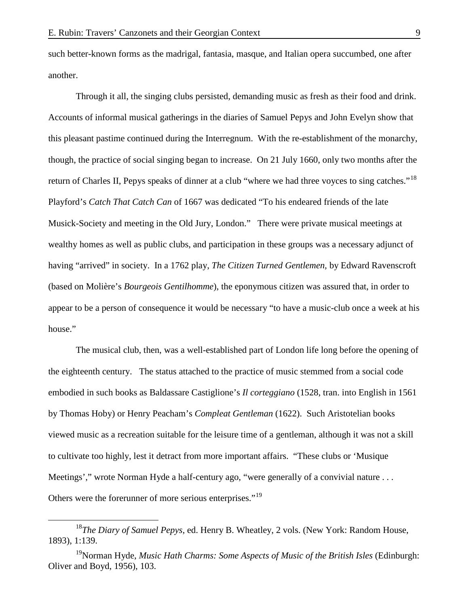such better-known forms as the madrigal, fantasia, masque, and Italian opera succumbed, one after another.

Through it all, the singing clubs persisted, demanding music as fresh as their food and drink. Accounts of informal musical gatherings in the diaries of Samuel Pepys and John Evelyn show that this pleasant pastime continued during the Interregnum. With the re-establishment of the monarchy, though, the practice of social singing began to increase. On 21 July 1660, only two months after the return of Charles II, Pepys speaks of dinner at a club "where we had three voyces to sing catches."<sup>[18](#page-9-0)</sup> Playford's *Catch That Catch Can* of 1667 was dedicated "To his endeared friends of the late Musick-Society and meeting in the Old Jury, London." There were private musical meetings at wealthy homes as well as public clubs, and participation in these groups was a necessary adjunct of having "arrived" in society. In a 1762 play, *The Citizen Turned Gentlemen,* by Edward Ravenscroft (based on Molière's *Bourgeois Gentilhomme*), the eponymous citizen was assured that, in order to appear to be a person of consequence it would be necessary "to have a music-club once a week at his house."

The musical club, then, was a well-established part of London life long before the opening of the eighteenth century. The status attached to the practice of music stemmed from a social code embodied in such books as Baldassare Castiglione's *Il corteggiano* (1528, tran. into English in 1561 by Thomas Hoby) or Henry Peacham's *Compleat Gentleman* (1622). Such Aristotelian books viewed music as a recreation suitable for the leisure time of a gentleman, although it was not a skill to cultivate too highly, lest it detract from more important affairs. "These clubs or 'Musique Meetings'," wrote Norman Hyde a half-century ago, "were generally of a convivial nature ... Others were the forerunner of more serious enterprises."<sup>[19](#page-9-1)</sup>

<span id="page-9-0"></span> <sup>18</sup>*The Diary of Samuel Pepys*, ed. Henry B. Wheatley, 2 vols. (New York: Random House, 1893), 1:139.

<span id="page-9-1"></span><sup>19</sup>Norman Hyde, *Music Hath Charms: Some Aspects of Music of the British Isles* (Edinburgh: Oliver and Boyd, 1956), 103.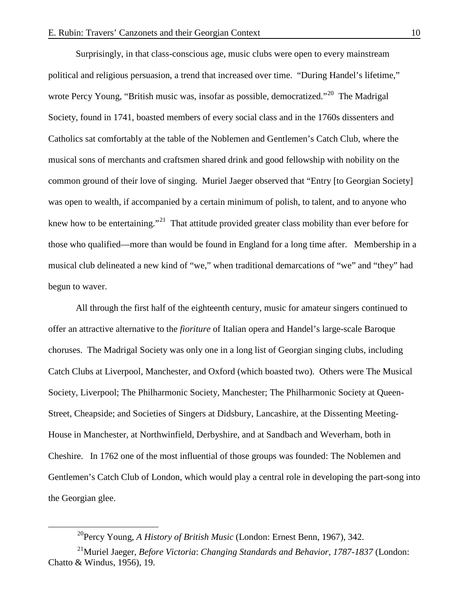Surprisingly, in that class-conscious age, music clubs were open to every mainstream political and religious persuasion, a trend that increased over time. "During Handel's lifetime," wrote Percy Young, "British music was, insofar as possible, democratized."<sup>20</sup> The Madrigal Society, found in 1741, boasted members of every social class and in the 1760s dissenters and Catholics sat comfortably at the table of the Noblemen and Gentlemen's Catch Club, where the musical sons of merchants and craftsmen shared drink and good fellowship with nobility on the common ground of their love of singing. Muriel Jaeger observed that "Entry [to Georgian Society] was open to wealth, if accompanied by a certain minimum of polish, to talent, and to anyone who knew how to be entertaining."<sup>[21](#page-10-1)</sup> That attitude provided greater class mobility than ever before for those who qualified—more than would be found in England for a long time after. Membership in a musical club delineated a new kind of "we," when traditional demarcations of "we" and "they" had begun to waver.

All through the first half of the eighteenth century, music for amateur singers continued to offer an attractive alternative to the *fioriture* of Italian opera and Handel's large-scale Baroque choruses. The Madrigal Society was only one in a long list of Georgian singing clubs, including Catch Clubs at Liverpool, Manchester, and Oxford (which boasted two). Others were The Musical Society, Liverpool; The Philharmonic Society, Manchester; The Philharmonic Society at Queen-Street, Cheapside; and Societies of Singers at Didsbury, Lancashire, at the Dissenting Meeting-House in Manchester, at Northwinfield, Derbyshire, and at Sandbach and Weverham, both in Cheshire. In 1762 one of the most influential of those groups was founded: The Noblemen and Gentlemen's Catch Club of London, which would play a central role in developing the part-song into the Georgian glee.

 <sup>20</sup>Percy Young, *A History of British Music* (London: Ernest Benn, 1967), 342.

<span id="page-10-1"></span><span id="page-10-0"></span><sup>21</sup>Muriel Jaeger, *Before Victoria*: *Changing Standards and Behavior, 1787-1837* (London: Chatto & Windus, 1956), 19.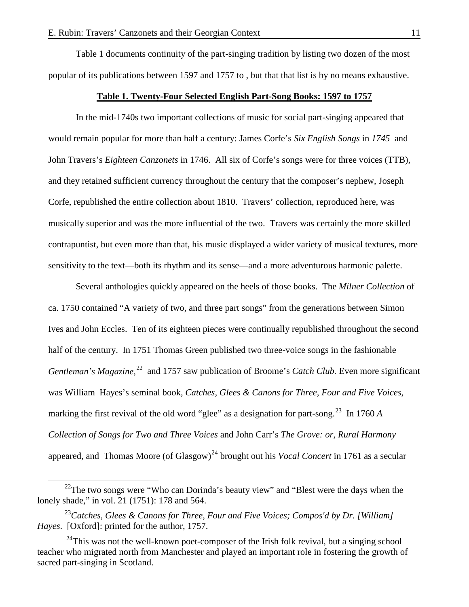Table 1 documents continuity of the part-singing tradition by listing two dozen of the most popular of its publications between 1597 and 1757 to , but that that list is by no means exhaustive.

#### **Table 1. Twenty-Four Selected English Part-Song Books: 1597 to 1757**

In the mid-1740s two important collections of music for social part-singing appeared that would remain popular for more than half a century: James Corfe's *Six English Songs* in *1745* and John Travers's *Eighteen Canzonets* in 1746. All six of Corfe's songs were for three voices (TTB), and they retained sufficient currency throughout the century that the composer's nephew, Joseph Corfe, republished the entire collection about 1810. Travers' collection, reproduced here, was musically superior and was the more influential of the two. Travers was certainly the more skilled contrapuntist, but even more than that, his music displayed a wider variety of musical textures, more sensitivity to the text—both its rhythm and its sense—and a more adventurous harmonic palette.

Several anthologies quickly appeared on the heels of those books. The *Milner Collection* of ca. 1750 contained "A variety of two, and three part songs" from the generations between Simon Ives and John Eccles. Ten of its eighteen pieces were continually republished throughout the second half of the century. In 1751 Thomas Green published two three-voice songs in the fashionable *Gentleman's Magazine*,<sup>[22](#page-11-0)</sup> and 1757 saw publication of Broome's *Catch Club*. Even more significant was William Hayes's seminal book, *Catches, Glees & Canons for Three, Four and Five Voices*, marking the first revival of the old word "glee" as a designation for part-song.<sup>[23](#page-11-1)</sup> In 1760 *A Collection of Songs for Two and Three Voices* and John Carr's *The Grove: or, Rural Harmony* appeared, and Thomas Moore (of Glasgow)<sup>[24](#page-11-2)</sup> brought out his *Vocal Concert* in 1761 as a secular

<span id="page-11-0"></span><sup>&</sup>lt;sup>22</sup>The two songs were "Who can Dorinda's beauty view" and "Blest were the days when the lonely shade," in vol. 21 (1751): 178 and 564.

<span id="page-11-1"></span><sup>23</sup>*Catches, Glees & Canons for Three, Four and Five Voices; Compos'd by Dr. [William] Hayes*. [Oxford]: printed for the author, 1757.

<span id="page-11-2"></span> $^{24}$ This was not the well-known poet-composer of the Irish folk revival, but a singing school teacher who migrated north from Manchester and played an important role in fostering the growth of sacred part-singing in Scotland.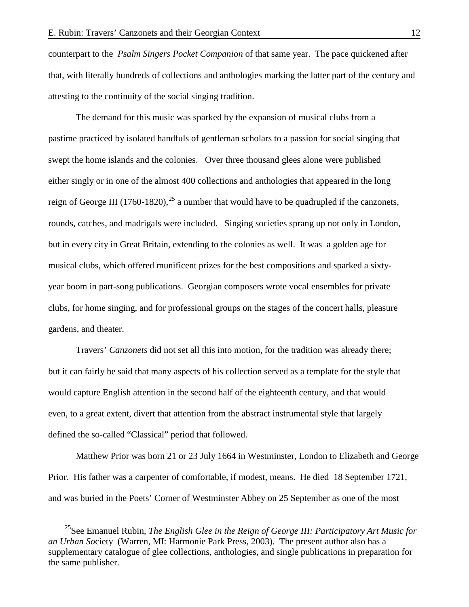counterpart to the *Psalm Singers Pocket Companion* of that same year. The pace quickened after that, with literally hundreds of collections and anthologies marking the latter part of the century and attesting to the continuity of the social singing tradition.

The demand for this music was sparked by the expansion of musical clubs from a pastime practiced by isolated handfuls of gentleman scholars to a passion for social singing that swept the home islands and the colonies. Over three thousand glees alone were published either singly or in one of the almost 400 collections and anthologies that appeared in the long reign of George III (1760-1820),<sup>[25](#page-12-0)</sup> a number that would have to be quadrupled if the canzonets, rounds, catches, and madrigals were included. Singing societies sprang up not only in London, but in every city in Great Britain, extending to the colonies as well. It was a golden age for musical clubs, which offered munificent prizes for the best compositions and sparked a sixtyyear boom in part-song publications.Georgian composers wrote vocal ensembles for private clubs, for home singing, and for professional groups on the stages of the concert halls, pleasure gardens, and theater.

Travers' *Canzonets* did not set all this into motion, for the tradition was already there; but it can fairly be said that many aspects of his collection served as a template for the style that would capture English attention in the second half of the eighteenth century, and that would even, to a great extent, divert that attention from the abstract instrumental style that largely defined the so-called "Classical" period that followed.

Matthew Prior was born 21 or 23 July 1664 in Westminster, London to Elizabeth and George Prior. His father was a carpenter of comfortable, if modest, means. He died 18 September 1721, and was buried in the Poets' Corner of Westminster Abbey on 25 September as one of the most

<span id="page-12-0"></span><sup>&</sup>lt;sup>25</sup>See Emanuel Rubin, *The English Glee in the Reign of George III: Participatory Art Music for an Urban So*ciety (Warren, MI: Harmonie Park Press, 2003). The present author also has a supplementary catalogue of glee collections, anthologies, and single publications in preparation for the same publisher.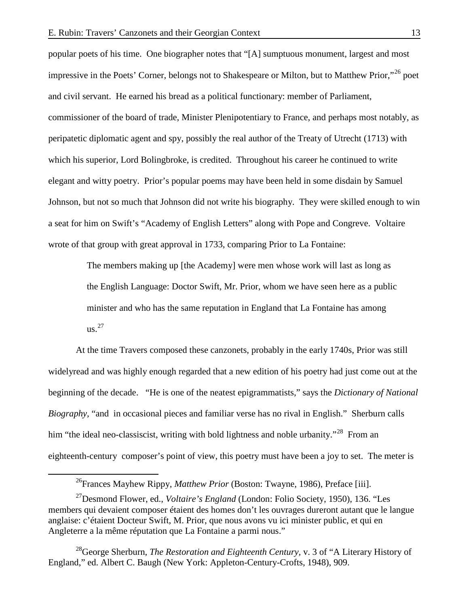popular poets of his time. One biographer notes that "[A] sumptuous monument, largest and most impressive in the Poets' Corner, belongs not to Shakespeare or Milton, but to Matthew Prior,"<sup>[26](#page-13-0)</sup> poet and civil servant. He earned his bread as a political functionary: member of Parliament, commissioner of the board of trade, Minister Plenipotentiary to France, and perhaps most notably, as peripatetic diplomatic agent and spy, possibly the real author of the Treaty of Utrecht (1713) with which his superior, Lord Bolingbroke, is credited. Throughout his career he continued to write elegant and witty poetry. Prior's popular poems may have been held in some disdain by Samuel Johnson, but not so much that Johnson did not write his biography. They were skilled enough to win a seat for him on Swift's "Academy of English Letters" along with Pope and Congreve. Voltaire wrote of that group with great approval in 1733, comparing Prior to La Fontaine:

> The members making up [the Academy] were men whose work will last as long as the English Language: Doctor Swift, Mr. Prior, whom we have seen here as a public minister and who has the same reputation in England that La Fontaine has among  $\text{us.}^{27}$  $\text{us.}^{27}$  $\text{us.}^{27}$

At the time Travers composed these canzonets, probably in the early 1740s, Prior was still widelyread and was highly enough regarded that a new edition of his poetry had just come out at the beginning of the decade. "He is one of the neatest epigrammatists," says the *Dictionary of National Biography,* "and in occasional pieces and familiar verse has no rival in English." Sherburn calls him "the ideal neo-classiscist, writing with bold lightness and noble urbanity."<sup>[28](#page-13-2)</sup> From an eighteenth-century composer's point of view, this poetry must have been a joy to set. The meter is

 <sup>26</sup>Frances Mayhew Rippy, *Matthew Prior* (Boston: Twayne, 1986), Preface [iii].

<span id="page-13-1"></span><span id="page-13-0"></span><sup>27</sup>Desmond Flower, ed., *Voltaire's England* (London: Folio Society, 1950), 136. "Les members qui devaient composer étaient des homes don't les ouvrages dureront autant que le langue anglaise: c'étaient Docteur Swift, M. Prior, que nous avons vu ici minister public, et qui en Angleterre a la même réputation que La Fontaine a parmi nous."

<span id="page-13-2"></span><sup>28</sup>George Sherburn, *The Restoration and Eighteenth Century,* v. 3 of "A Literary History of England," ed. Albert C. Baugh (New York: Appleton-Century-Crofts, 1948), 909.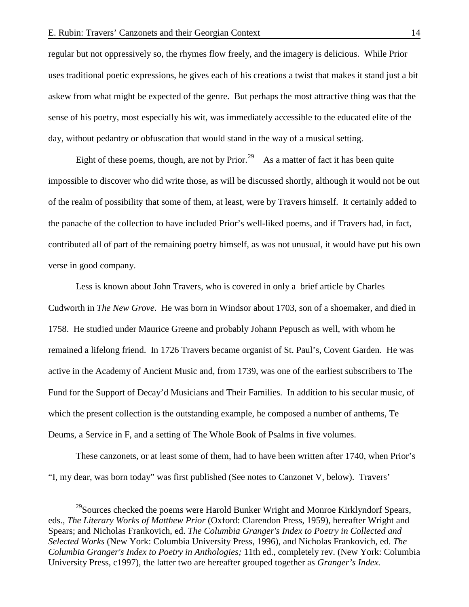regular but not oppressively so, the rhymes flow freely, and the imagery is delicious. While Prior uses traditional poetic expressions, he gives each of his creations a twist that makes it stand just a bit askew from what might be expected of the genre. But perhaps the most attractive thing was that the sense of his poetry, most especially his wit, was immediately accessible to the educated elite of the day, without pedantry or obfuscation that would stand in the way of a musical setting.

Eight of these poems, though, are not by Prior.<sup>[29](#page-14-0)</sup> As a matter of fact it has been quite impossible to discover who did write those, as will be discussed shortly, although it would not be out of the realm of possibility that some of them, at least, were by Travers himself. It certainly added to the panache of the collection to have included Prior's well-liked poems, and if Travers had, in fact, contributed all of part of the remaining poetry himself, as was not unusual, it would have put his own verse in good company.

Less is known about John Travers, who is covered in only a brief article by Charles Cudworth in *The New Grove*. He was born in Windsor about 1703, son of a shoemaker, and died in 1758. He studied under Maurice Greene and probably Johann Pepusch as well, with whom he remained a lifelong friend. In 1726 Travers became organist of St. Paul's, Covent Garden. He was active in the Academy of Ancient Music and, from 1739, was one of the earliest subscribers to The Fund for the Support of Decay'd Musicians and Their Families. In addition to his secular music, of which the present collection is the outstanding example, he composed a number of anthems, Te Deums, a Service in F, and a setting of The Whole Book of Psalms in five volumes.

These canzonets, or at least some of them, had to have been written after 1740, when Prior's "I, my dear, was born today" was first published (See notes to Canzonet V, below). Travers'

<span id="page-14-0"></span><sup>&</sup>lt;sup>29</sup>Sources checked the poems were Harold Bunker Wright and Monroe Kirklyndorf Spears, eds., *The Literary Works of Matthew Prior* (Oxford: Clarendon Press, 1959), hereafter Wright and Spears; and Nicholas Frankovich, ed. *The Columbia Granger's Index to Poetry in Collected and Selected Works* (New York: Columbia University Press, 1996), and Nicholas Frankovich, ed. *The Columbia Granger's Index to Poetry in Anthologies;* 11th ed., completely rev. (New York: Columbia University Press, c1997), the latter two are hereafter grouped together as *Granger's Index.*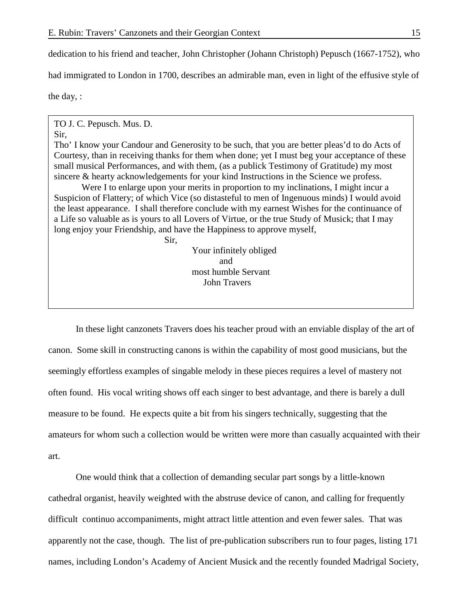Sir,

dedication to his friend and teacher, John Christopher (Johann Christoph) Pepusch (1667-1752), who had immigrated to London in 1700, describes an admirable man, even in light of the effusive style of the day, :

TO J. C. Pepusch. Mus. D.

## Sir,

Tho' I know your Candour and Generosity to be such, that you are better pleas'd to do Acts of Courtesy, than in receiving thanks for them when done; yet I must beg your acceptance of these small musical Performances, and with them, (as a publick Testimony of Gratitude) my most sincere & hearty acknowledgements for your kind Instructions in the Science we profess.

Were I to enlarge upon your merits in proportion to my inclinations, I might incur a Suspicion of Flattery; of which Vice (so distasteful to men of Ingenuous minds) I would avoid the least appearance. I shall therefore conclude with my earnest Wishes for the continuance of a Life so valuable as is yours to all Lovers of Virtue, or the true Study of Musick; that I may long enjoy your Friendship, and have the Happiness to approve myself,

> Your infinitely obliged and most humble Servant John Travers

In these light canzonets Travers does his teacher proud with an enviable display of the art of canon. Some skill in constructing canons is within the capability of most good musicians, but the seemingly effortless examples of singable melody in these pieces requires a level of mastery not often found. His vocal writing shows off each singer to best advantage, and there is barely a dull measure to be found. He expects quite a bit from his singers technically, suggesting that the amateurs for whom such a collection would be written were more than casually acquainted with their art.

One would think that a collection of demanding secular part songs by a little-known cathedral organist, heavily weighted with the abstruse device of canon, and calling for frequently difficult continuo accompaniments, might attract little attention and even fewer sales. That was apparently not the case, though. The list of pre-publication subscribers run to four pages, listing 171 names, including London's Academy of Ancient Musick and the recently founded Madrigal Society,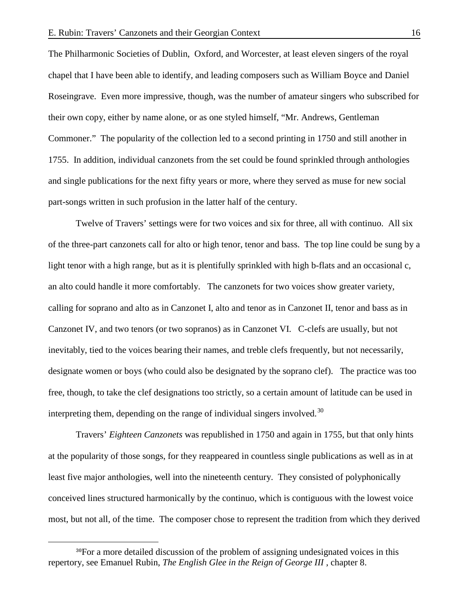The Philharmonic Societies of Dublin, Oxford, and Worcester, at least eleven singers of the royal chapel that I have been able to identify, and leading composers such as William Boyce and Daniel Roseingrave. Even more impressive, though, was the number of amateur singers who subscribed for their own copy, either by name alone, or as one styled himself, "Mr. Andrews, Gentleman Commoner." The popularity of the collection led to a second printing in 1750 and still another in 1755. In addition, individual canzonets from the set could be found sprinkled through anthologies and single publications for the next fifty years or more, where they served as muse for new social part-songs written in such profusion in the latter half of the century.

Twelve of Travers' settings were for two voices and six for three, all with continuo. All six of the three-part canzonets call for alto or high tenor, tenor and bass. The top line could be sung by a light tenor with a high range, but as it is plentifully sprinkled with high b-flats and an occasional c, an alto could handle it more comfortably. The canzonets for two voices show greater variety, calling for soprano and alto as in Canzonet I, alto and tenor as in Canzonet II, tenor and bass as in Canzonet IV, and two tenors (or two sopranos) as in Canzonet VI. C-clefs are usually, but not inevitably, tied to the voices bearing their names, and treble clefs frequently, but not necessarily, designate women or boys (who could also be designated by the soprano clef). The practice was too free, though, to take the clef designations too strictly, so a certain amount of latitude can be used in interpreting them, depending on the range of individual singers involved.<sup>[30](#page-16-0)</sup>

Travers' *Eighteen Canzonets* was republished in 1750 and again in 1755, but that only hints at the popularity of those songs, for they reappeared in countless single publications as well as in at least five major anthologies, well into the nineteenth century. They consisted of polyphonically conceived lines structured harmonically by the continuo, which is contiguous with the lowest voice most, but not all, of the time. The composer chose to represent the tradition from which they derived

 $\overline{a}$ 

<span id="page-16-0"></span><sup>&</sup>lt;sup>30</sup>For a more detailed discussion of the problem of assigning undesignated voices in this repertory, see Emanuel Rubin, *The English Glee in the Reign of George III* , chapter 8.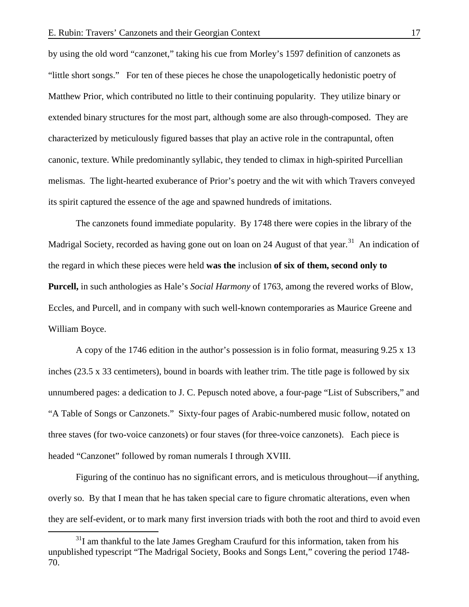by using the old word "canzonet," taking his cue from Morley's 1597 definition of canzonets as "little short songs." For ten of these pieces he chose the unapologetically hedonistic poetry of Matthew Prior, which contributed no little to their continuing popularity. They utilize binary or extended binary structures for the most part, although some are also through-composed. They are characterized by meticulously figured basses that play an active role in the contrapuntal, often canonic, texture. While predominantly syllabic, they tended to climax in high-spirited Purcellian melismas. The light-hearted exuberance of Prior's poetry and the wit with which Travers conveyed its spirit captured the essence of the age and spawned hundreds of imitations.

The canzonets found immediate popularity. By 1748 there were copies in the library of the Madrigal Society, recorded as having gone out on loan on 24 August of that year.<sup>[31](#page-17-0)</sup> An indication of the regard in which these pieces were held **was the** inclusion **of six of them, second only to Purcell,** in such anthologies as Hale's *Social Harmony* of 1763, among the revered works of Blow, Eccles, and Purcell, and in company with such well-known contemporaries as Maurice Greene and William Boyce.

A copy of the 1746 edition in the author's possession is in folio format, measuring 9.25 x 13 inches (23.5 x 33 centimeters), bound in boards with leather trim. The title page is followed by six unnumbered pages: a dedication to J. C. Pepusch noted above, a four-page "List of Subscribers," and "A Table of Songs or Canzonets." Sixty-four pages of Arabic-numbered music follow, notated on three staves (for two-voice canzonets) or four staves (for three-voice canzonets). Each piece is headed "Canzonet" followed by roman numerals I through XVIII.

Figuring of the continuo has no significant errors, and is meticulous throughout—if anything, overly so. By that I mean that he has taken special care to figure chromatic alterations, even when they are self-evident, or to mark many first inversion triads with both the root and third to avoid even

<span id="page-17-0"></span> $31$ I am thankful to the late James Gregham Craufurd for this information, taken from his unpublished typescript "The Madrigal Society, Books and Songs Lent," covering the period 1748- 70.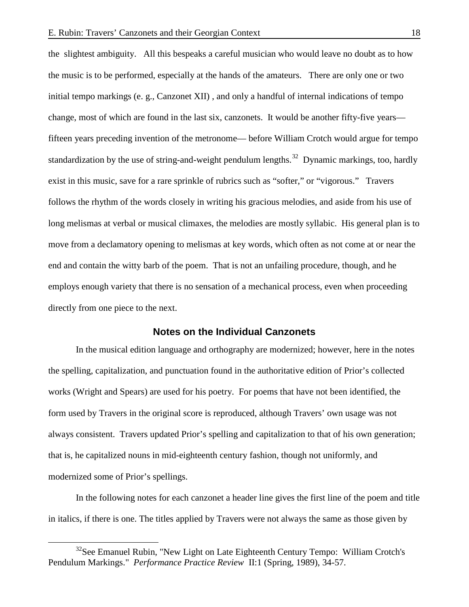the slightest ambiguity. All this bespeaks a careful musician who would leave no doubt as to how the music is to be performed, especially at the hands of the amateurs. There are only one or two initial tempo markings (e. g., Canzonet XII) , and only a handful of internal indications of tempo change, most of which are found in the last six, canzonets. It would be another fifty-five years fifteen years preceding invention of the metronome— before William Crotch would argue for tempo standardization by the use of string-and-weight pendulum lengths.<sup>[32](#page-18-0)</sup> Dynamic markings, too, hardly exist in this music, save for a rare sprinkle of rubrics such as "softer," or "vigorous." Travers follows the rhythm of the words closely in writing his gracious melodies, and aside from his use of long melismas at verbal or musical climaxes, the melodies are mostly syllabic. His general plan is to move from a declamatory opening to melismas at key words, which often as not come at or near the end and contain the witty barb of the poem. That is not an unfailing procedure, though, and he employs enough variety that there is no sensation of a mechanical process, even when proceeding directly from one piece to the next.

## **Notes on the Individual Canzonets**

In the musical edition language and orthography are modernized; however, here in the notes the spelling, capitalization, and punctuation found in the authoritative edition of Prior's collected works (Wright and Spears) are used for his poetry. For poems that have not been identified, the form used by Travers in the original score is reproduced, although Travers' own usage was not always consistent. Travers updated Prior's spelling and capitalization to that of his own generation; that is, he capitalized nouns in mid-eighteenth century fashion, though not uniformly, and modernized some of Prior's spellings.

In the following notes for each canzonet a header line gives the first line of the poem and title in italics, if there is one. The titles applied by Travers were not always the same as those given by

<span id="page-18-0"></span><sup>&</sup>lt;sup>32</sup>See Emanuel Rubin, "New Light on Late Eighteenth Century Tempo: William Crotch's Pendulum Markings." *Performance Practice Review* II:1 (Spring, 1989), 34-57.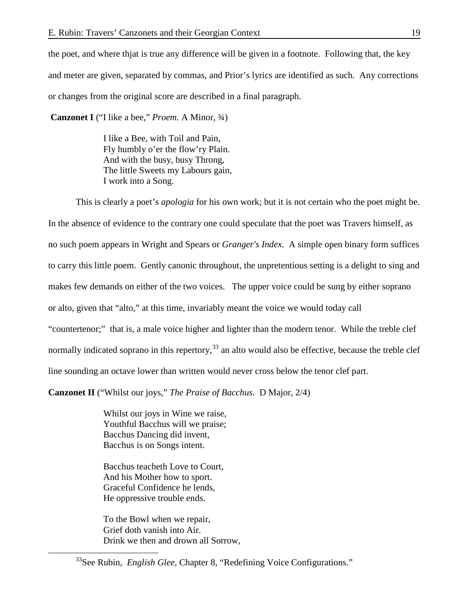the poet, and where thjat is true any difference will be given in a footnote. Following that, the key and meter are given, separated by commas, and Prior's lyrics are identified as such. Any corrections or changes from the original score are described in a final paragraph.

**Canzonet I** ("I like a bee," *Proem.* A Minor, ¾)

I like a Bee, with Toil and Pain, Fly humbly o'er the flow'ry Plain. And with the busy, busy Throng, The little Sweets my Labours gain, I work into a Song.

This is clearly a poet's *apologia* for his own work; but it is not certain who the poet might be. In the absence of evidence to the contrary one could speculate that the poet was Travers himself, as no such poem appears in Wright and Spears or *Granger's Index.* A simple open binary form suffices to carry this little poem. Gently canonic throughout, the unpretentious setting is a delight to sing and makes few demands on either of the two voices. The upper voice could be sung by either soprano or alto, given that "alto," at this time, invariably meant the voice we would today call "countertenor;" that is, a male voice higher and lighter than the modern tenor. While the treble clef normally indicated soprano in this repertory,<sup>[33](#page-19-0)</sup> an alto would also be effective, because the treble clef line sounding an octave lower than written would never cross below the tenor clef part.

**Canzonet II** ("Whilst our joys," *The Praise of Bacchus.* D Major, 2/4)

Whilst our joys in Wine we raise, Youthful Bacchus will we praise; Bacchus Dancing did invent, Bacchus is on Songs intent.

Bacchus teacheth Love to Court, And his Mother how to sport. Graceful Confidence he lends, He oppressive trouble ends.

To the Bowl when we repair, Grief doth vanish into Air. Drink we then and drown all Sorrow,

<span id="page-19-0"></span><sup>&</sup>lt;sup>33</sup>See Rubin, *English Glee*, Chapter 8, "Redefining Voice Configurations."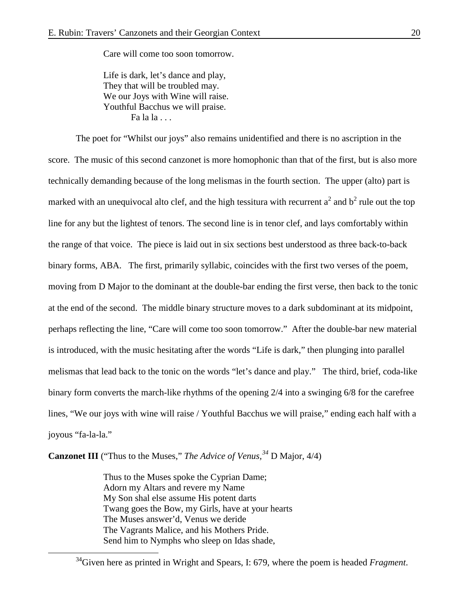Care will come too soon tomorrow.

Life is dark, let's dance and play, They that will be troubled may. We our Joys with Wine will raise. Youthful Bacchus we will praise.  $Fa$  la  $a$  . . .

The poet for "Whilst our joys" also remains unidentified and there is no ascription in the score. The music of this second canzonet is more homophonic than that of the first, but is also more technically demanding because of the long melismas in the fourth section. The upper (alto) part is marked with an unequivocal alto clef, and the high tessitura with recurrent  $a^2$  and  $b^2$  rule out the top line for any but the lightest of tenors. The second line is in tenor clef, and lays comfortably within the range of that voice. The piece is laid out in six sections best understood as three back-to-back binary forms, ABA. The first, primarily syllabic, coincides with the first two verses of the poem, moving from D Major to the dominant at the double-bar ending the first verse, then back to the tonic at the end of the second. The middle binary structure moves to a dark subdominant at its midpoint, perhaps reflecting the line, "Care will come too soon tomorrow." After the double-bar new material is introduced, with the music hesitating after the words "Life is dark," then plunging into parallel melismas that lead back to the tonic on the words "let's dance and play." The third, brief, coda-like binary form converts the march-like rhythms of the opening 2/4 into a swinging 6/8 for the carefree lines, "We our joys with wine will raise / Youthful Bacchus we will praise," ending each half with a joyous "fa-la-la."

**Canzonet III** ("Thus to the Muses," *The Advice of Venus,[34](#page-20-0)* D Major, 4/4)

Thus to the Muses spoke the Cyprian Dame; Adorn my Altars and revere my Name My Son shal else assume His potent darts Twang goes the Bow, my Girls, have at your hearts The Muses answer'd, Venus we deride The Vagrants Malice, and his Mothers Pride. Send him to Nymphs who sleep on Idas shade,

<span id="page-20-0"></span> <sup>34</sup>Given here as printed in Wright and Spears, I: 679, where the poem is headed *Fragment*.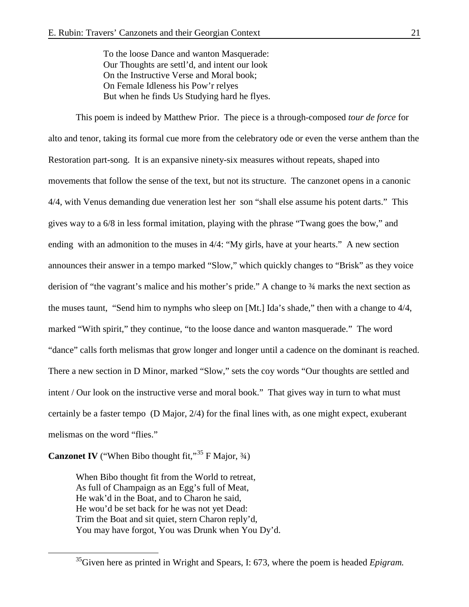To the loose Dance and wanton Masquerade: Our Thoughts are settl'd, and intent our look On the Instructive Verse and Moral book; On Female Idleness his Pow'r relyes But when he finds Us Studying hard he flyes.

This poem is indeed by Matthew Prior. The piece is a through-composed *tour de force* for alto and tenor, taking its formal cue more from the celebratory ode or even the verse anthem than the Restoration part-song. It is an expansive ninety-six measures without repeats, shaped into movements that follow the sense of the text, but not its structure. The canzonet opens in a canonic 4/4, with Venus demanding due veneration lest her son "shall else assume his potent darts." This gives way to a 6/8 in less formal imitation, playing with the phrase "Twang goes the bow," and ending with an admonition to the muses in 4/4: "My girls, have at your hearts." A new section announces their answer in a tempo marked "Slow," which quickly changes to "Brisk" as they voice derision of "the vagrant's malice and his mother's pride." A change to ¾ marks the next section as the muses taunt, "Send him to nymphs who sleep on [Mt.] Ida's shade," then with a change to 4/4, marked "With spirit," they continue, "to the loose dance and wanton masquerade." The word "dance" calls forth melismas that grow longer and longer until a cadence on the dominant is reached. There a new section in D Minor, marked "Slow," sets the coy words "Our thoughts are settled and intent / Our look on the instructive verse and moral book." That gives way in turn to what must certainly be a faster tempo (D Major, 2/4) for the final lines with, as one might expect, exuberant melismas on the word "flies."

**Canzonet IV** ("When Bibo thought fit," $35$  F Major,  $34$ )

When Bibo thought fit from the World to retreat, As full of Champaign as an Egg's full of Meat, He wak'd in the Boat, and to Charon he said, He wou'd be set back for he was not yet Dead: Trim the Boat and sit quiet, stern Charon reply'd, You may have forgot, You was Drunk when You Dy'd.

<span id="page-21-0"></span> <sup>35</sup>Given here as printed in Wright and Spears, I: 673, where the poem is headed *Epigram.*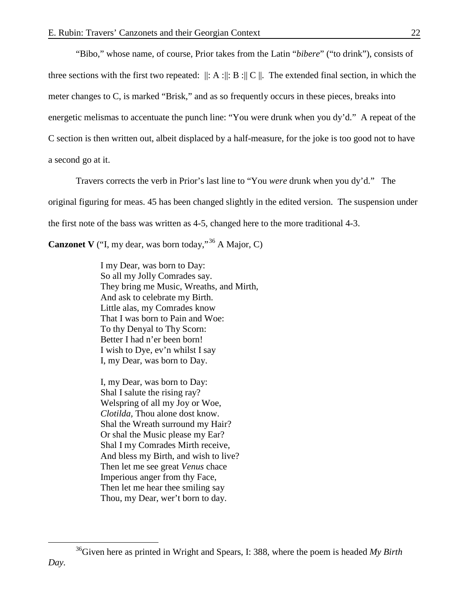"Bibo," whose name, of course, Prior takes from the Latin "*bibere*" ("to drink"), consists of three sections with the first two repeated:  $\|\cdot A\|$ :  $B\|C\|$ . The extended final section, in which the meter changes to C, is marked "Brisk," and as so frequently occurs in these pieces, breaks into energetic melismas to accentuate the punch line: "You were drunk when you dy'd." A repeat of the C section is then written out, albeit displaced by a half-measure, for the joke is too good not to have a second go at it.

Travers corrects the verb in Prior's last line to "You *were* drunk when you dy'd." The original figuring for meas. 45 has been changed slightly in the edited version. The suspension under the first note of the bass was written as 4-5, changed here to the more traditional 4-3.

**Canzonet V** ("I, my dear, was born today,"<sup>[36](#page-22-0)</sup> A Major, C)

I my Dear, was born to Day: So all my Jolly Comrades say. They bring me Music, Wreaths, and Mirth, And ask to celebrate my Birth. Little alas, my Comrades know That I was born to Pain and Woe: To thy Denyal to Thy Scorn: Better I had n'er been born! I wish to Dye, ev'n whilst I say I, my Dear, was born to Day.

I, my Dear, was born to Day: Shal I salute the rising ray? Welspring of all my Joy or Woe, *Clotilda,* Thou alone dost know. Shal the Wreath surround my Hair? Or shal the Music please my Ear? Shal I my Comrades Mirth receive, And bless my Birth, and wish to live? Then let me see great *Venus* chace Imperious anger from thy Face, Then let me hear thee smiling say Thou, my Dear, wer't born to day.

<span id="page-22-0"></span> <sup>36</sup>Given here as printed in Wright and Spears, I: 388, where the poem is headed *My Birth Day.*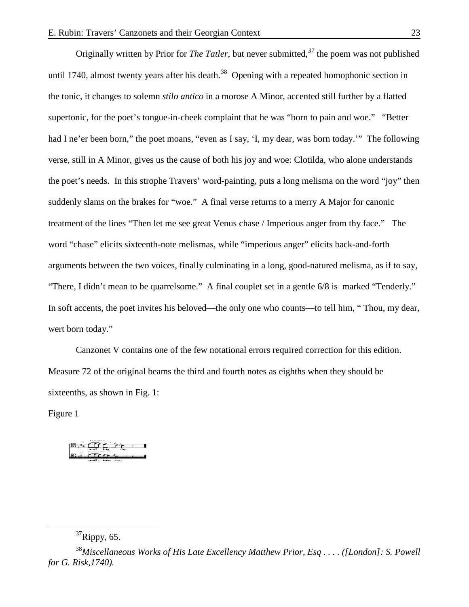Originally written by Prior for *The Tatler,* but never submitted,*[37](#page-23-0)* the poem was not published until 1740, almost twenty years after his death.<sup>[38](#page-23-1)</sup> Opening with a repeated homophonic section in the tonic, it changes to solemn *stilo antico* in a morose A Minor, accented still further by a flatted supertonic, for the poet's tongue-in-cheek complaint that he was "born to pain and woe." "Better had I ne'er been born," the poet moans, "even as I say, 'I, my dear, was born today."" The following verse, still in A Minor, gives us the cause of both his joy and woe: Clotilda, who alone understands the poet's needs. In this strophe Travers' word-painting, puts a long melisma on the word "joy" then suddenly slams on the brakes for "woe." A final verse returns to a merry A Major for canonic treatment of the lines "Then let me see great Venus chase / Imperious anger from thy face." The word "chase" elicits sixteenth-note melismas, while "imperious anger" elicits back-and-forth arguments between the two voices, finally culminating in a long, good-natured melisma, as if to say, "There, I didn't mean to be quarrelsome." A final couplet set in a gentle 6/8 is marked "Tenderly." In soft accents, the poet invites his beloved—the only one who counts—to tell him, " Thou, my dear, wert born today."

Canzonet V contains one of the few notational errors required correction for this edition. Measure 72 of the original beams the third and fourth notes as eighths when they should be sixteenths, as shown in Fig. 1:

Figure 1

# $37$ Rippy, 65.

<span id="page-23-1"></span><span id="page-23-0"></span><sup>38</sup>*Miscellaneous Works of His Late Excellency Matthew Prior, Esq . . . . ([London]: S. Powell for G. Risk,1740).*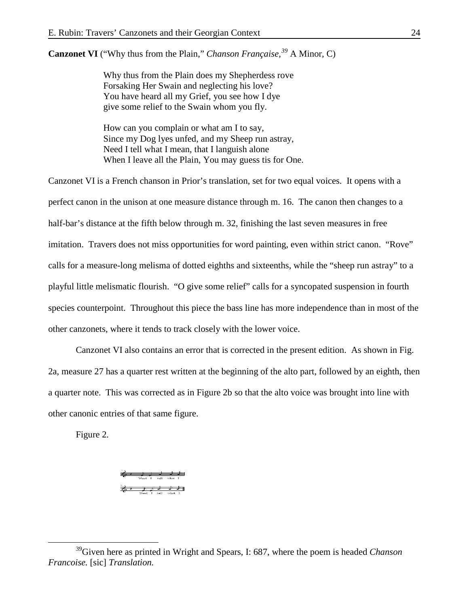**Canzonet VI** ("Why thus from the Plain," *Chanson Française,[39](#page-24-0)* A Minor, C)

Why thus from the Plain does my Shepherdess rove Forsaking Her Swain and neglecting his love? You have heard all my Grief, you see how I dye give some relief to the Swain whom you fly.

How can you complain or what am I to say, Since my Dog lyes unfed, and my Sheep run astray, Need I tell what I mean, that I languish alone When I leave all the Plain, You may guess tis for One.

Canzonet VI is a French chanson in Prior's translation, set for two equal voices. It opens with a perfect canon in the unison at one measure distance through m. 16. The canon then changes to a half-bar's distance at the fifth below through m. 32, finishing the last seven measures in free imitation. Travers does not miss opportunities for word painting, even within strict canon. "Rove" calls for a measure-long melisma of dotted eighths and sixteenths, while the "sheep run astray" to a playful little melismatic flourish. "O give some relief" calls for a syncopated suspension in fourth species counterpoint. Throughout this piece the bass line has more independence than in most of the other canzonets, where it tends to track closely with the lower voice.

Canzonet VI also contains an error that is corrected in the present edition. As shown in Fig. 2a, measure 27 has a quarter rest written at the beginning of the alto part, followed by an eighth, then a quarter note. This was corrected as in Figure 2b so that the alto voice was brought into line with other canonic entries of that same figure.

Figure 2.

 $\begin{picture}(180,10) \put(0,0){\line(1,0){100}} \put(10,0){\line(1,0){100}} \put(10,0){\line(1,0){100}} \put(10,0){\line(1,0){100}} \put(10,0){\line(1,0){100}} \put(10,0){\line(1,0){100}} \put(10,0){\line(1,0){100}} \put(10,0){\line(1,0){100}} \put(10,0){\line(1,0){100}} \put(10,0){\line(1,0){100}} \put(10,0){\line(1,0){100}}$  $\begin{array}{ccccccc}\n\frac{1}{\sqrt{6}} & 1 & \frac{1}{\sqrt{6}} & \frac{1}{\sqrt{6}} & \frac{1}{\sqrt{6}} & \frac{1}{\sqrt{6}} & \frac{1}{\sqrt{6}} & \frac{1}{\sqrt{6}} & \frac{1}{\sqrt{6}} & \frac{1}{\sqrt{6}} & \frac{1}{\sqrt{6}} & \frac{1}{\sqrt{6}} & \frac{1}{\sqrt{6}} & \frac{1}{\sqrt{6}} & \frac{1}{\sqrt{6}} & \frac{1}{\sqrt{6}} & \frac{1}{\sqrt{6}} & \frac{1}{\sqrt{6}} & \frac{1}{\sqrt{6}} & \frac{1}{\sqrt{6}}$ 

<span id="page-24-0"></span> <sup>39</sup>Given here as printed in Wright and Spears, I: 687, where the poem is headed *Chanson Francoise.* [sic] *Translation.*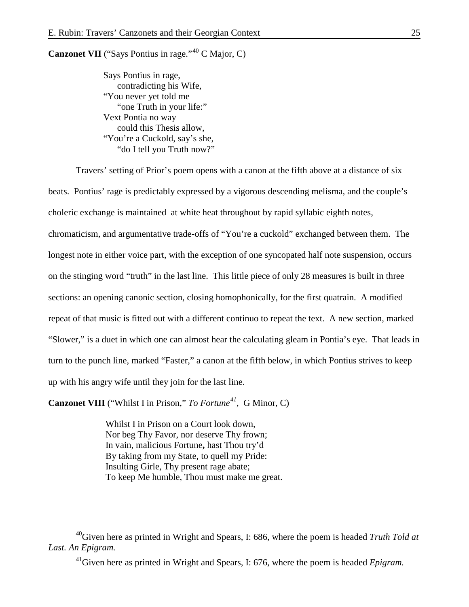**Canzonet VII** ("Says Pontius in rage."<sup>[40](#page-25-0)</sup> C Major, C)

Says Pontius in rage, contradicting his Wife, "You never yet told me "one Truth in your life:" Vext Pontia no way could this Thesis allow, "You're a Cuckold, say's she, "do I tell you Truth now?"

Travers' setting of Prior's poem opens with a canon at the fifth above at a distance of six beats. Pontius' rage is predictably expressed by a vigorous descending melisma, and the couple's choleric exchange is maintained at white heat throughout by rapid syllabic eighth notes, chromaticism, and argumentative trade-offs of "You're a cuckold" exchanged between them. The longest note in either voice part, with the exception of one syncopated half note suspension, occurs on the stinging word "truth" in the last line. This little piece of only 28 measures is built in three sections: an opening canonic section, closing homophonically, for the first quatrain. A modified repeat of that music is fitted out with a different continuo to repeat the text. A new section, marked "Slower," is a duet in which one can almost hear the calculating gleam in Pontia's eye. That leads in turn to the punch line, marked "Faster," a canon at the fifth below, in which Pontius strives to keep up with his angry wife until they join for the last line.

**Canzonet VIII** ("Whilst I in Prison," *To Fortune[41](#page-25-1) ,* G Minor, C)

Whilst I in Prison on a Court look down, Nor beg Thy Favor, nor deserve Thy frown; In vain, malicious Fortune**,** hast Thou try'd By taking from my State, to quell my Pride: Insulting Girle, Thy present rage abate; To keep Me humble, Thou must make me great.

<span id="page-25-1"></span><span id="page-25-0"></span> <sup>40</sup>Given here as printed in Wright and Spears, I: 686, where the poem is headed *Truth Told at Last. An Epigram.*

<sup>&</sup>lt;sup>41</sup>Given here as printed in Wright and Spears, I: 676, where the poem is headed *Epigram*.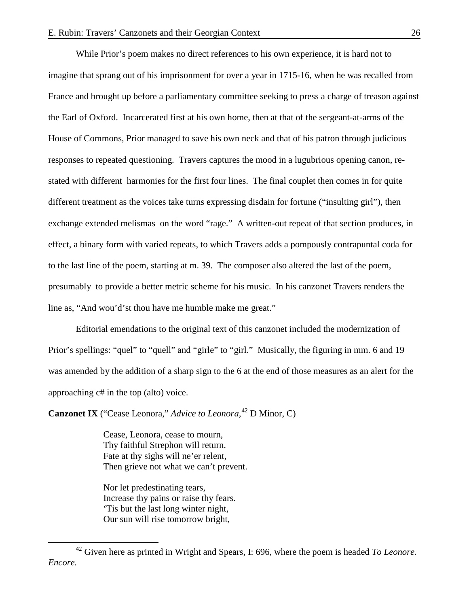While Prior's poem makes no direct references to his own experience, it is hard not to imagine that sprang out of his imprisonment for over a year in 1715-16, when he was recalled from France and brought up before a parliamentary committee seeking to press a charge of treason against the Earl of Oxford. Incarcerated first at his own home, then at that of the sergeant-at-arms of the House of Commons, Prior managed to save his own neck and that of his patron through judicious responses to repeated questioning. Travers captures the mood in a lugubrious opening canon, restated with different harmonies for the first four lines. The final couplet then comes in for quite different treatment as the voices take turns expressing disdain for fortune ("insulting girl"), then exchange extended melismas on the word "rage." A written-out repeat of that section produces, in effect, a binary form with varied repeats, to which Travers adds a pompously contrapuntal coda for to the last line of the poem, starting at m. 39. The composer also altered the last of the poem, presumably to provide a better metric scheme for his music. In his canzonet Travers renders the line as, "And wou'd'st thou have me humble make me great."

Editorial emendations to the original text of this canzonet included the modernization of Prior's spellings: "quel" to "quell" and "girle" to "girl." Musically, the figuring in mm. 6 and 19 was amended by the addition of a sharp sign to the 6 at the end of those measures as an alert for the approaching c# in the top (alto) voice.

**Canzonet IX** ("Cease Leonora," *Advice to Leonora*, <sup>[42](#page-26-0)</sup> D Minor, C)

Cease, Leonora, cease to mourn, Thy faithful Strephon will return. Fate at thy sighs will ne'er relent, Then grieve not what we can't prevent.

Nor let predestinating tears, Increase thy pains or raise thy fears. 'Tis but the last long winter night, Our sun will rise tomorrow bright,

<span id="page-26-0"></span> <sup>42</sup> Given here as printed in Wright and Spears, I: 696, where the poem is headed *To Leonore. Encore.*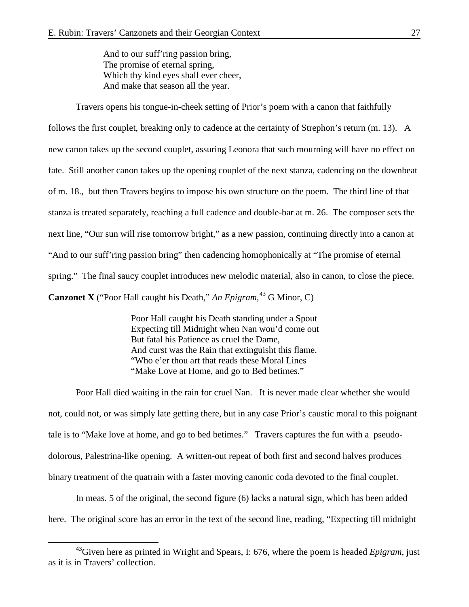And to our suff'ring passion bring, The promise of eternal spring, Which thy kind eyes shall ever cheer, And make that season all the year.

Travers opens his tongue-in-cheek setting of Prior's poem with a canon that faithfully follows the first couplet, breaking only to cadence at the certainty of Strephon's return (m. 13). A new canon takes up the second couplet, assuring Leonora that such mourning will have no effect on fate. Still another canon takes up the opening couplet of the next stanza, cadencing on the downbeat of m. 18., but then Travers begins to impose his own structure on the poem. The third line of that stanza is treated separately, reaching a full cadence and double-bar at m. 26. The composer sets the next line, "Our sun will rise tomorrow bright," as a new passion, continuing directly into a canon at "And to our suff'ring passion bring" then cadencing homophonically at "The promise of eternal spring." The final saucy couplet introduces new melodic material, also in canon, to close the piece. **Canzonet X** ("Poor Hall caught his Death," An Epigram, <sup>[43](#page-27-0)</sup> G Minor, C)

> Poor Hall caught his Death standing under a Spout Expecting till Midnight when Nan wou'd come out But fatal his Patience as cruel the Dame, And curst was the Rain that extinguisht this flame. "Who e'er thou art that reads these Moral Lines "Make Love at Home, and go to Bed betimes."

Poor Hall died waiting in the rain for cruel Nan. It is never made clear whether she would not, could not, or was simply late getting there, but in any case Prior's caustic moral to this poignant tale is to "Make love at home, and go to bed betimes." Travers captures the fun with a pseudodolorous, Palestrina-like opening. A written-out repeat of both first and second halves produces binary treatment of the quatrain with a faster moving canonic coda devoted to the final couplet.

In meas. 5 of the original, the second figure (6) lacks a natural sign, which has been added here. The original score has an error in the text of the second line, reading, "Expecting till midnight

<span id="page-27-0"></span><sup>&</sup>lt;sup>43</sup>Given here as printed in Wright and Spears, I: 676, where the poem is headed *Epigram*, just as it is in Travers' collection.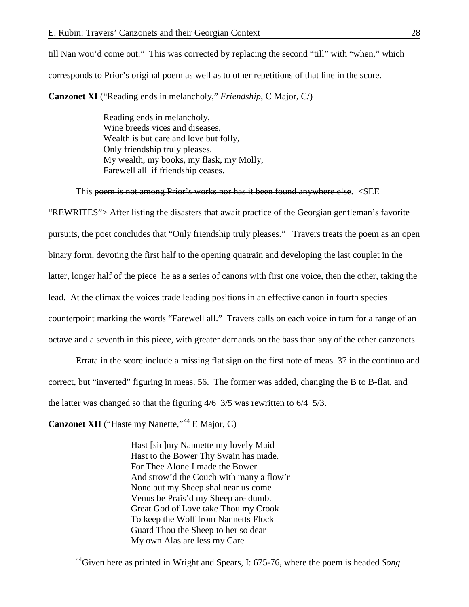till Nan wou'd come out." This was corrected by replacing the second "till" with "when," which corresponds to Prior's original poem as well as to other repetitions of that line in the score. **Canzonet XI** ("Reading ends in melancholy," *Friendship*, C Major, C/)

> Reading ends in melancholy, Wine breeds vices and diseases, Wealth is but care and love but folly, Only friendship truly pleases. My wealth, my books, my flask, my Molly, Farewell all if friendship ceases.

This poem is not among Prior's works nor has it been found anywhere else. <SEE

"REWRITES"> After listing the disasters that await practice of the Georgian gentleman's favorite pursuits, the poet concludes that "Only friendship truly pleases." Travers treats the poem as an open binary form, devoting the first half to the opening quatrain and developing the last couplet in the latter, longer half of the piece he as a series of canons with first one voice, then the other, taking the lead. At the climax the voices trade leading positions in an effective canon in fourth species counterpoint marking the words "Farewell all." Travers calls on each voice in turn for a range of an octave and a seventh in this piece, with greater demands on the bass than any of the other canzonets.

Errata in the score include a missing flat sign on the first note of meas. 37 in the continuo and correct, but "inverted" figuring in meas. 56. The former was added, changing the B to B-flat, and the latter was changed so that the figuring 4/6 3/5 was rewritten to 6/4 5/3.

Canzonet XII ("Haste my Nanette,"<sup>[44](#page-28-0)</sup> E Major, C)

Hast [sic]my Nannette my lovely Maid Hast to the Bower Thy Swain has made. For Thee Alone I made the Bower And strow'd the Couch with many a flow'r None but my Sheep shal near us come Venus be Prais'd my Sheep are dumb. Great God of Love take Thou my Crook To keep the Wolf from Nannetts Flock Guard Thou the Sheep to her so dear My own Alas are less my Care

<span id="page-28-0"></span><sup>&</sup>lt;sup>44</sup>Given here as printed in Wright and Spears, I: 675-76, where the poem is headed *Song*.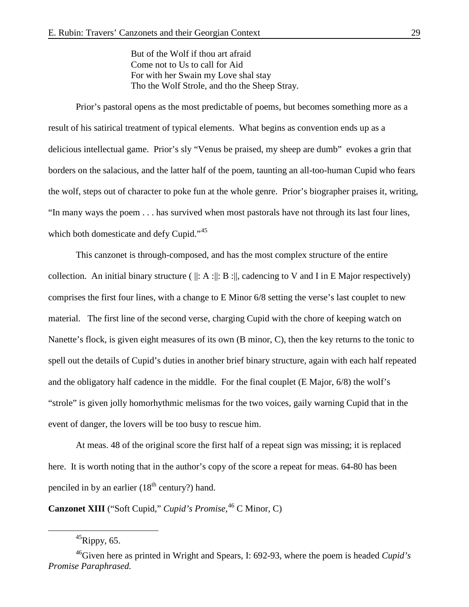But of the Wolf if thou art afraid Come not to Us to call for Aid For with her Swain my Love shal stay Tho the Wolf Strole, and tho the Sheep Stray.

Prior's pastoral opens as the most predictable of poems, but becomes something more as a result of his satirical treatment of typical elements. What begins as convention ends up as a delicious intellectual game. Prior's sly "Venus be praised, my sheep are dumb" evokes a grin that borders on the salacious, and the latter half of the poem, taunting an all-too-human Cupid who fears the wolf, steps out of character to poke fun at the whole genre. Prior's biographer praises it, writing, "In many ways the poem . . . has survived when most pastorals have not through its last four lines, which both domesticate and defy Cupid."<sup>[45](#page-29-0)</sup>

This canzonet is through-composed, and has the most complex structure of the entire collection. An initial binary structure ( $\|\: A\:\|$ : B $\:\|$ , cadencing to V and I in E Major respectively) comprises the first four lines, with a change to E Minor 6/8 setting the verse's last couplet to new material. The first line of the second verse, charging Cupid with the chore of keeping watch on Nanette's flock, is given eight measures of its own (B minor, C), then the key returns to the tonic to spell out the details of Cupid's duties in another brief binary structure, again with each half repeated and the obligatory half cadence in the middle. For the final couplet (E Major, 6/8) the wolf's "strole" is given jolly homorhythmic melismas for the two voices, gaily warning Cupid that in the event of danger, the lovers will be too busy to rescue him.

At meas. 48 of the original score the first half of a repeat sign was missing; it is replaced here. It is worth noting that in the author's copy of the score a repeat for meas. 64-80 has been penciled in by an earlier  $(18<sup>th</sup>$  century?) hand.

**Canzonet XIII** ("Soft Cupid," *Cupid's Promise*, [46](#page-29-1) C Minor, C)

 $^{45}$ Rippy, 65.

<span id="page-29-1"></span><span id="page-29-0"></span><sup>46</sup>Given here as printed in Wright and Spears, I: 692-93, where the poem is headed *Cupid's Promise Paraphrased.*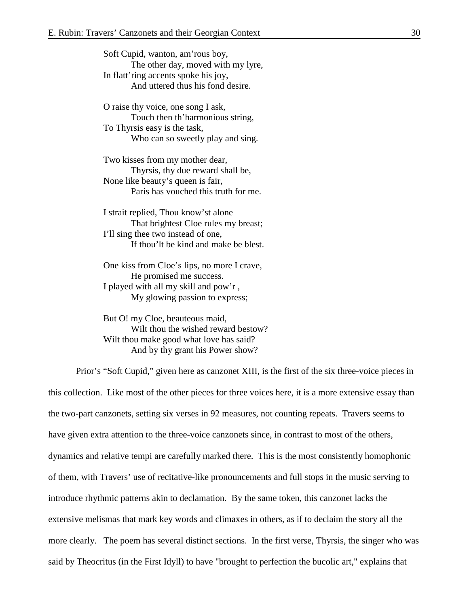Soft Cupid, wanton, am'rous boy, The other day, moved with my lyre, In flatt'ring accents spoke his joy, And uttered thus his fond desire.

O raise thy voice, one song I ask, Touch then th'harmonious string, To Thyrsis easy is the task, Who can so sweetly play and sing.

Two kisses from my mother dear, Thyrsis, thy due reward shall be, None like beauty's queen is fair, Paris has vouched this truth for me.

I strait replied, Thou know'st alone That brightest Cloe rules my breast; I'll sing thee two instead of one, If thou'lt be kind and make be blest.

One kiss from Cloe's lips, no more I crave, He promised me success. I played with all my skill and pow'r , My glowing passion to express;

But O! my Cloe, beauteous maid, Wilt thou the wished reward bestow? Wilt thou make good what love has said? And by thy grant his Power show?

Prior's "Soft Cupid," given here as canzonet XIII, is the first of the six three-voice pieces in this collection. Like most of the other pieces for three voices here, it is a more extensive essay than the two-part canzonets, setting six verses in 92 measures, not counting repeats. Travers seems to have given extra attention to the three-voice canzonets since, in contrast to most of the others, dynamics and relative tempi are carefully marked there. This is the most consistently homophonic of them, with Travers' use of recitative-like pronouncements and full stops in the music serving to introduce rhythmic patterns akin to declamation. By the same token, this canzonet lacks the extensive melismas that mark key words and climaxes in others, as if to declaim the story all the more clearly. The poem has several distinct sections. In the first verse, Thyrsis, the singer who was said by Theocritus (in the First Idyll) to have "brought to perfection the bucolic art," explains that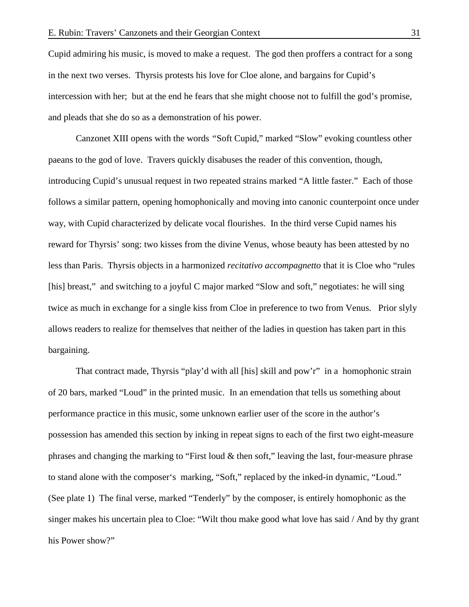Cupid admiring his music, is moved to make a request. The god then proffers a contract for a song in the next two verses. Thyrsis protests his love for Cloe alone, and bargains for Cupid's intercession with her; but at the end he fears that she might choose not to fulfill the god's promise, and pleads that she do so as a demonstration of his power.

Canzonet XIII opens with the words *"*Soft Cupid," marked "Slow" evoking countless other paeans to the god of love. Travers quickly disabuses the reader of this convention, though, introducing Cupid's unusual request in two repeated strains marked "A little faster." Each of those follows a similar pattern, opening homophonically and moving into canonic counterpoint once under way, with Cupid characterized by delicate vocal flourishes. In the third verse Cupid names his reward for Thyrsis' song: two kisses from the divine Venus, whose beauty has been attested by no less than Paris. Thyrsis objects in a harmonized *recitativo accompagnetto* that it is Cloe who "rules [his] breast," and switching to a joyful C major marked "Slow and soft," negotiates: he will sing twice as much in exchange for a single kiss from Cloe in preference to two from Venus. Prior slyly allows readers to realize for themselves that neither of the ladies in question has taken part in this bargaining.

That contract made, Thyrsis "play'd with all [his] skill and pow'r" in a homophonic strain of 20 bars, marked "Loud" in the printed music. In an emendation that tells us something about performance practice in this music, some unknown earlier user of the score in the author's possession has amended this section by inking in repeat signs to each of the first two eight-measure phrases and changing the marking to "First loud  $\&$  then soft," leaving the last, four-measure phrase to stand alone with the composer's marking, "Soft," replaced by the inked-in dynamic, "Loud." (See plate 1) The final verse, marked "Tenderly" by the composer, is entirely homophonic as the singer makes his uncertain plea to Cloe: "Wilt thou make good what love has said / And by thy grant his Power show?"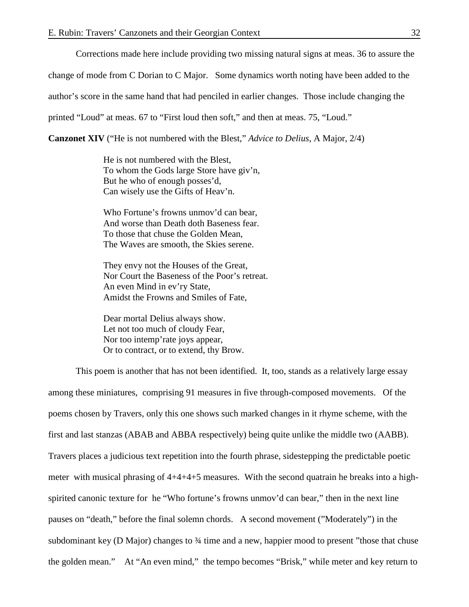Corrections made here include providing two missing natural signs at meas. 36 to assure the

change of mode from C Dorian to C Major. Some dynamics worth noting have been added to the

author's score in the same hand that had penciled in earlier changes. Those include changing the

printed "Loud" at meas. 67 to "First loud then soft," and then at meas. 75, "Loud."

**Canzonet XIV** ("He is not numbered with the Blest," *Advice to Delius*, A Major, 2/4)

He is not numbered with the Blest, To whom the Gods large Store have giv'n, But he who of enough posses'd, Can wisely use the Gifts of Heav'n.

Who Fortune's frowns unmov'd can bear, And worse than Death doth Baseness fear. To those that chuse the Golden Mean, The Waves are smooth, the Skies serene.

They envy not the Houses of the Great, Nor Court the Baseness of the Poor's retreat. An even Mind in ev'ry State, Amidst the Frowns and Smiles of Fate,

Dear mortal Delius always show. Let not too much of cloudy Fear, Nor too intemp'rate joys appear, Or to contract, or to extend, thy Brow.

This poem is another that has not been identified. It, too, stands as a relatively large essay among these miniatures, comprising 91 measures in five through-composed movements. Of the poems chosen by Travers, only this one shows such marked changes in it rhyme scheme, with the first and last stanzas (ABAB and ABBA respectively) being quite unlike the middle two (AABB). Travers places a judicious text repetition into the fourth phrase, sidestepping the predictable poetic meter with musical phrasing of 4+4+4+5 measures. With the second quatrain he breaks into a highspirited canonic texture for he "Who fortune's frowns unmov'd can bear," then in the next line pauses on "death," before the final solemn chords. A second movement ("Moderately") in the subdominant key (D Major) changes to ¾ time and a new, happier mood to present "those that chuse the golden mean." At "An even mind," the tempo becomes "Brisk," while meter and key return to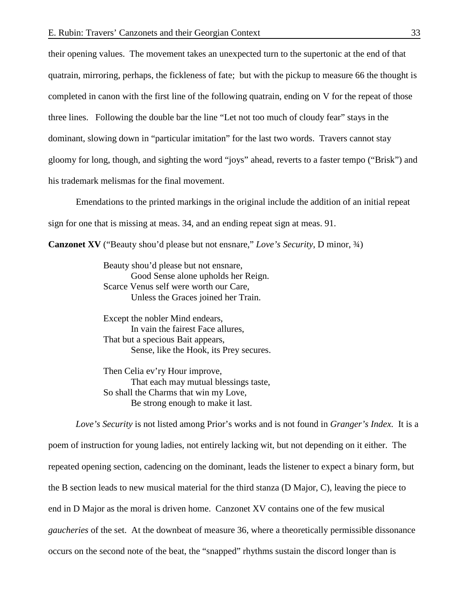their opening values. The movement takes an unexpected turn to the supertonic at the end of that quatrain, mirroring, perhaps, the fickleness of fate; but with the pickup to measure 66 the thought is completed in canon with the first line of the following quatrain, ending on V for the repeat of those three lines. Following the double bar the line "Let not too much of cloudy fear" stays in the dominant, slowing down in "particular imitation" for the last two words. Travers cannot stay gloomy for long, though, and sighting the word "joys" ahead, reverts to a faster tempo ("Brisk") and his trademark melismas for the final movement.

Emendations to the printed markings in the original include the addition of an initial repeat

sign for one that is missing at meas. 34, and an ending repeat sign at meas. 91.

**Canzonet XV** ("Beauty shou'd please but not ensnare," *Love's Security*, D minor, ¾)

Beauty shou'd please but not ensnare, Good Sense alone upholds her Reign. Scarce Venus self were worth our Care, Unless the Graces joined her Train.

Except the nobler Mind endears, In vain the fairest Face allures, That but a specious Bait appears, Sense, like the Hook, its Prey secures.

Then Celia ev'ry Hour improve, That each may mutual blessings taste, So shall the Charms that win my Love, Be strong enough to make it last.

*Love's Security* is not listed among Prior's works and is not found in *Granger's Index*. It is a poem of instruction for young ladies, not entirely lacking wit, but not depending on it either. The repeated opening section, cadencing on the dominant, leads the listener to expect a binary form, but the B section leads to new musical material for the third stanza (D Major, C), leaving the piece to end in D Major as the moral is driven home. Canzonet XV contains one of the few musical *gaucheries* of the set. At the downbeat of measure 36, where a theoretically permissible dissonance occurs on the second note of the beat, the "snapped" rhythms sustain the discord longer than is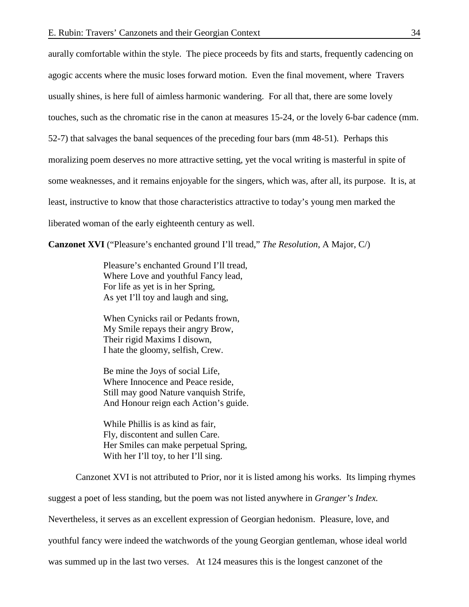aurally comfortable within the style. The piece proceeds by fits and starts, frequently cadencing on agogic accents where the music loses forward motion. Even the final movement, where Travers usually shines, is here full of aimless harmonic wandering. For all that, there are some lovely touches, such as the chromatic rise in the canon at measures 15-24, or the lovely 6-bar cadence (mm. 52-7) that salvages the banal sequences of the preceding four bars (mm 48-51). Perhaps this moralizing poem deserves no more attractive setting, yet the vocal writing is masterful in spite of some weaknesses, and it remains enjoyable for the singers, which was, after all, its purpose. It is, at least, instructive to know that those characteristics attractive to today's young men marked the liberated woman of the early eighteenth century as well.

**Canzonet XVI** ("Pleasure's enchanted ground I'll tread," *The Resolution*, A Major, C/)

Pleasure's enchanted Ground I'll tread, Where Love and youthful Fancy lead, For life as yet is in her Spring, As yet I'll toy and laugh and sing,

When Cynicks rail or Pedants frown, My Smile repays their angry Brow, Their rigid Maxims I disown, I hate the gloomy, selfish, Crew.

Be mine the Joys of social Life, Where Innocence and Peace reside, Still may good Nature vanquish Strife, And Honour reign each Action's guide.

While Phillis is as kind as fair, Fly, discontent and sullen Care. Her Smiles can make perpetual Spring, With her I'll toy, to her I'll sing.

Canzonet XVI is not attributed to Prior, nor it is listed among his works. Its limping rhymes suggest a poet of less standing, but the poem was not listed anywhere in *Granger's Index.*  Nevertheless, it serves as an excellent expression of Georgian hedonism. Pleasure, love, and youthful fancy were indeed the watchwords of the young Georgian gentleman, whose ideal world was summed up in the last two verses. At 124 measures this is the longest canzonet of the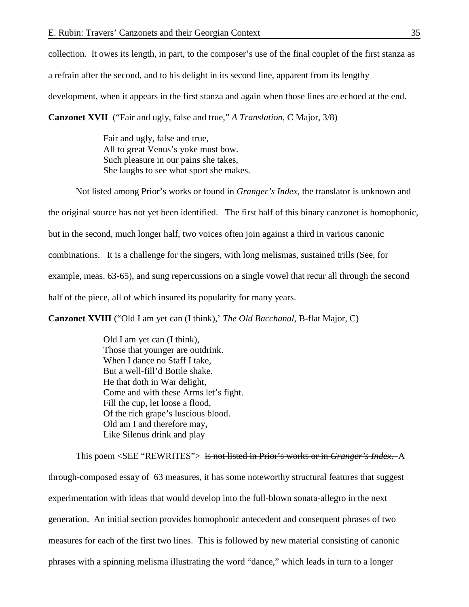collection. It owes its length, in part, to the composer's use of the final couplet of the first stanza as a refrain after the second, and to his delight in its second line, apparent from its lengthy development, when it appears in the first stanza and again when those lines are echoed at the end.

**Canzonet XVII** ("Fair and ugly, false and true," *A Translation*, C Major, 3/8)

Fair and ugly, false and true, All to great Venus's yoke must bow. Such pleasure in our pains she takes, She laughs to see what sport she makes.

Not listed among Prior's works or found in *Granger's Index*, the translator is unknown and the original source has not yet been identified. The first half of this binary canzonet is homophonic, but in the second, much longer half, two voices often join against a third in various canonic combinations. It is a challenge for the singers, with long melismas, sustained trills (See, for example, meas. 63-65), and sung repercussions on a single vowel that recur all through the second half of the piece, all of which insured its popularity for many years.

**Canzonet XVIII** ("Old I am yet can (I think),' *The Old Bacchanal*, B-flat Major, C)

Old I am yet can (I think), Those that younger are outdrink. When I dance no Staff I take, But a well-fill'd Bottle shake. He that doth in War delight, Come and with these Arms let's fight. Fill the cup, let loose a flood, Of the rich grape's luscious blood. Old am I and therefore may, Like Silenus drink and play

This poem <SEE "REWRITES"> is not listed in Prior's works or in *Granger's Index*. A through-composed essay of 63 measures, it has some noteworthy structural features that suggest experimentation with ideas that would develop into the full-blown sonata-allegro in the next generation. An initial section provides homophonic antecedent and consequent phrases of two measures for each of the first two lines. This is followed by new material consisting of canonic phrases with a spinning melisma illustrating the word "dance," which leads in turn to a longer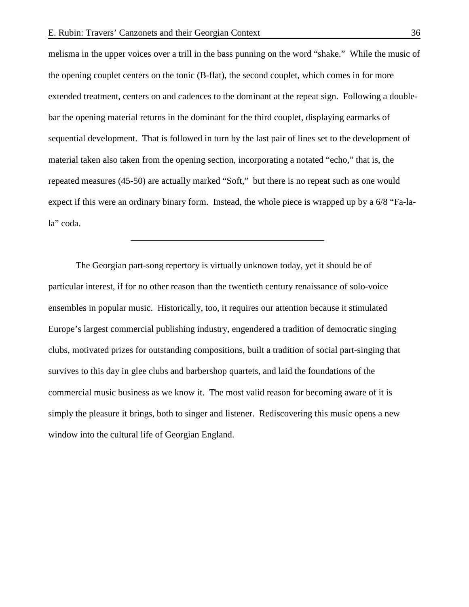melisma in the upper voices over a trill in the bass punning on the word "shake." While the music of the opening couplet centers on the tonic (B-flat), the second couplet, which comes in for more extended treatment, centers on and cadences to the dominant at the repeat sign. Following a doublebar the opening material returns in the dominant for the third couplet, displaying earmarks of sequential development. That is followed in turn by the last pair of lines set to the development of material taken also taken from the opening section, incorporating a notated "echo," that is, the repeated measures (45-50) are actually marked "Soft," but there is no repeat such as one would expect if this were an ordinary binary form. Instead, the whole piece is wrapped up by a 6/8 "Fa-lala" coda.

The Georgian part-song repertory is virtually unknown today, yet it should be of particular interest, if for no other reason than the twentieth century renaissance of solo-voice ensembles in popular music. Historically, too, it requires our attention because it stimulated Europe's largest commercial publishing industry, engendered a tradition of democratic singing clubs, motivated prizes for outstanding compositions, built a tradition of social part-singing that survives to this day in glee clubs and barbershop quartets, and laid the foundations of the commercial music business as we know it. The most valid reason for becoming aware of it is simply the pleasure it brings, both to singer and listener. Rediscovering this music opens a new window into the cultural life of Georgian England.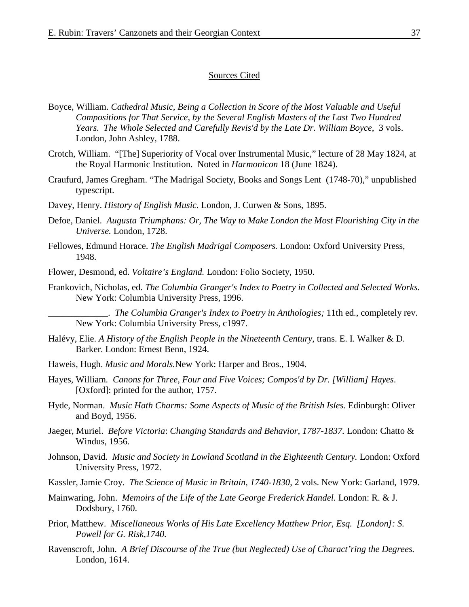### Sources Cited

- Boyce, William. *Cathedral Music, Being a Collection in Score of the Most Valuable and Useful Compositions for That Service, by the Several English Masters of the Last Two Hundred Years. The Whole Selected and Carefully Revis'd by the Late Dr. William Boyce*, 3 vols. London, John Ashley, 1788.
- Crotch, William. "[The] Superiority of Vocal over Instrumental Music," lecture of 28 May 1824, at the Royal Harmonic Institution. Noted in *Harmonicon* 18 (June 1824).
- Craufurd, James Gregham. "The Madrigal Society, Books and Songs Lent (1748-70)," unpublished typescript.
- Davey, Henry. *History of English Music.* London, J. Curwen & Sons, 1895.
- Defoe, Daniel. *Augusta Triumphans: Or, The Way to Make London the Most Flourishing City in the Universe.* London, 1728.
- Fellowes, Edmund Horace. *The English Madrigal Composers.* London: Oxford University Press, 1948.
- Flower, Desmond, ed. *Voltaire's England.* London: Folio Society, 1950.
- Frankovich, Nicholas, ed. *The Columbia Granger's Index to Poetry in Collected and Selected Works.*  New York: Columbia University Press, 1996.

\_\_\_\_\_\_\_\_\_\_\_\_\_. *The Columbia Granger's Index to Poetry in Anthologies;* 11th ed., completely rev. New York: Columbia University Press, c1997.

- Halévy, Elie. *A History of the English People in the Nineteenth Century*, trans. E. I. Walker & D. Barker. London: Ernest Benn, 1924.
- Haweis, Hugh. *Music and Morals.*New York: Harper and Bros., 1904.
- Hayes*,* William*. Canons for Three, Four and Five Voices; Compos'd by Dr. [William] Hayes*. [Oxford]: printed for the author, 1757.
- Hyde, Norman. *Music Hath Charms: Some Aspects of Music of the British Isles.* Edinburgh: Oliver and Boyd, 1956.
- Jaeger, Muriel. *Before Victoria*: *Changing Standards and Behavior, 1787-1837.* London: Chatto & Windus, 1956.
- Johnson, David. *Music and Society in Lowland Scotland in the Eighteenth Century.* London: Oxford University Press, 1972.
- Kassler, Jamie Croy. *The Science of Music in Britain, 1740-1830*, 2 vols. New York: Garland, 1979.

Mainwaring, John. *Memoirs of the Life of the Late George Frederick Handel.* London: R. & J. Dodsbury, 1760.

- Prior, Matthew. *Miscellaneous Works of His Late Excellency Matthew Prior, Esq. [London]: S. Powell for G. Risk,1740.*
- Ravenscroft, John. *A Brief Discourse of the True (but Neglected) Use of Charact'ring the Degrees.* London, 1614.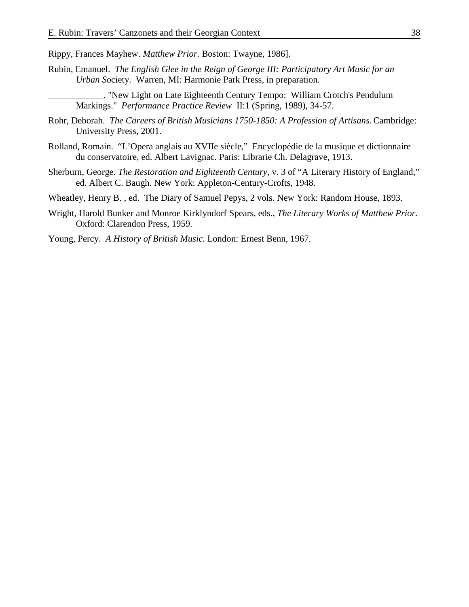Rippy, Frances Mayhew. *Matthew Prior.* Boston: Twayne, 1986].

Rubin, Emanuel. *The English Glee in the Reign of George III: Participatory Art Music for an Urban So*ciety. Warren, MI: Harmonie Park Press, in preparation.

\_\_\_\_\_\_\_\_\_\_\_\_. "New Light on Late Eighteenth Century Tempo: William Crotch's Pendulum Markings." *Performance Practice Review* II:1 (Spring, 1989), 34-57.

- Rohr, Deborah. *The Careers of British Musicians 1750-1850: A Profession of Artisans.* Cambridge: University Press, 2001.
- Rolland, Romain. "L'Opera anglais au XVIIe siècle," Encyclopédie de la musique et dictionnaire du conservatoire, ed. Albert Lavignac. Paris: Librarie Ch. Delagrave, 1913.
- Sherburn, George. *The Restoration and Eighteenth Century,* v. 3 of "A Literary History of England," ed. Albert C. Baugh. New York: Appleton-Century-Crofts, 1948.

Wheatley, Henry B. , ed. The Diary of Samuel Pepys, 2 vols. New York: Random House, 1893.

Wright, Harold Bunker and Monroe Kirklyndorf Spears, eds., *The Literary Works of Matthew Prior.* Oxford: Clarendon Press, 1959.

Young, Percy. *A History of British Music.* London: Ernest Benn, 1967.